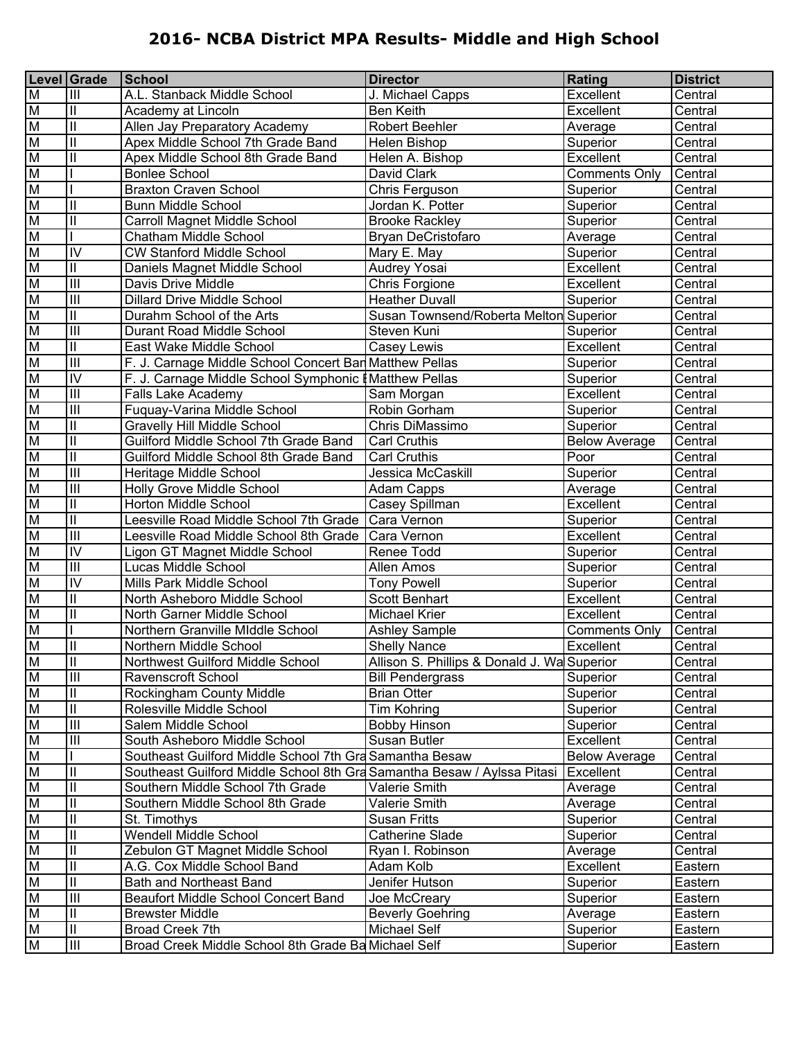|                         | Level Grade                           | School                                                                  | <b>Director</b>                             | Rating               | <b>District</b> |
|-------------------------|---------------------------------------|-------------------------------------------------------------------------|---------------------------------------------|----------------------|-----------------|
| M                       | $\mathbf{III}$                        | A.L. Stanback Middle School                                             | J. Michael Capps                            | Excellent            | Central         |
| $\overline{\mathsf{M}}$ | $\vert \vert$                         | Academy at Lincoln                                                      | <b>Ben Keith</b>                            | Excellent            | Central         |
| M                       | $\overline{\mathbf{u}}$               | Allen Jay Preparatory Academy                                           | <b>Robert Beehler</b>                       | Average              | Central         |
| $\overline{\mathsf{M}}$ | $\overline{\mathbb{I}}$               | Apex Middle School 7th Grade Band                                       | Helen Bishop                                | Superior             | Central         |
| $\overline{\mathsf{M}}$ | $\overline{\mathbb{I}}$               | Apex Middle School 8th Grade Band                                       | Helen A. Bishop                             | Excellent            | Central         |
| M                       |                                       | <b>Bonlee School</b>                                                    | David Clark                                 | <b>Comments Only</b> | Central         |
| M                       |                                       | <b>Braxton Craven School</b>                                            | Chris Ferguson                              | Superior             | Central         |
| M                       | $\overline{\mathbb{I}}$               | <b>Bunn Middle School</b>                                               | Jordan K. Potter                            | Superior             | Central         |
| M                       | $\overline{\mathbb{I}}$               | <b>Carroll Magnet Middle School</b>                                     | <b>Brooke Rackley</b>                       | Superior             | Central         |
| M                       |                                       | Chatham Middle School                                                   | Bryan DeCristofaro                          | Average              | Central         |
| M                       | $\overline{N}$                        | <b>CW Stanford Middle School</b>                                        | Mary E. May                                 | Superior             | Central         |
| M                       | $\overline{\mathbf{u}}$               | Daniels Magnet Middle School                                            | Audrey Yosai                                | Excellent            | Central         |
| $\overline{\mathsf{M}}$ | $\overline{III}$                      | Davis Drive Middle                                                      | Chris Forgione                              | Excellent            | Central         |
| $\overline{\mathsf{M}}$ | $\overline{III}$                      | <b>Dillard Drive Middle School</b>                                      | <b>Heather Duvall</b>                       | Superior             | Central         |
| M                       | $\overline{\mathbb{I}}$               | Durahm School of the Arts                                               | Susan Townsend/Roberta Melton Superior      |                      | Central         |
| M                       | $\overline{III}$                      | Durant Road Middle School                                               | Steven Kuni                                 | Superior             | Central         |
| M                       | $\overline{\mathbb{I}}$               | East Wake Middle School                                                 | Casey Lewis                                 | Excellent            | Central         |
| M                       | $\overline{III}$                      | F. J. Carnage Middle School Concert Bar Matthew Pellas                  |                                             | Superior             | Central         |
| M                       | $\overline{N}$                        | F. J. Carnage Middle School Symphonic I                                 | <b>Matthew Pellas</b>                       | Superior             | Central         |
| M                       | $\overline{\mathbb{H}}$               | <b>Falls Lake Academy</b>                                               | Sam Morgan                                  | Excellent            | Central         |
| M                       | $\overline{\mathbb{H}}$               | Fuquay-Varina Middle School                                             | Robin Gorham                                | Superior             | Central         |
| $\overline{\mathsf{M}}$ | $\overline{\mathbf{u}}$               | <b>Gravelly Hill Middle School</b>                                      | Chris DiMassimo                             | Superior             | Central         |
| $\overline{\mathsf{M}}$ | $\overline{\mathbb{I}}$               | Guilford Middle School 7th Grade Band                                   | <b>Carl Cruthis</b>                         | <b>Below Average</b> | Central         |
| M                       | $\overline{\mathbb{I}}$               | Guilford Middle School 8th Grade Band                                   | <b>Carl Cruthis</b>                         | Poor                 | Central         |
| M                       | $\overline{\mathbf{m}}$               | Heritage Middle School                                                  | Jessica McCaskill                           | Superior             | Central         |
| M                       | $\overline{III}$                      | Holly Grove Middle School                                               | Adam Capps                                  | Average              | Central         |
| M                       | $\overline{\mathbf{u}}$               | Horton Middle School                                                    | Casey Spillman                              | Excellent            | Central         |
| M                       | $\overline{\mathbf{u}}$               | Leesville Road Middle School 7th Grade                                  | Cara Vernon                                 | Superior             | Central         |
| $\overline{\mathsf{M}}$ | $\overline{\mathsf{III}}$             | Leesville Road Middle School 8th Grade                                  | Cara Vernon                                 | Excellent            | Central         |
| M                       | $\overline{N}$                        | Ligon GT Magnet Middle School                                           | Renee Todd                                  | Superior             | Central         |
| M                       | $\overline{\mathbb{H}}$               | Lucas Middle School                                                     | Allen Amos                                  | Superior             | Central         |
| M                       | $\overline{N}$                        | Mills Park Middle School                                                | <b>Tony Powell</b>                          | Superior             | Central         |
| M                       | $\overline{\mathbf{u}}$               | North Asheboro Middle School                                            | <b>Scott Benhart</b>                        | Excellent            | Central         |
| M                       | $\overline{\mathbb{I}}$               | North Garner Middle School                                              | <b>Michael Krier</b>                        | Excellent            | Central         |
| M                       |                                       | Northern Granville MIddle School                                        | <b>Ashley Sample</b>                        | <b>Comments Only</b> | Central         |
| $\overline{\mathsf{M}}$ | II                                    | Northern Middle School                                                  | <b>Shelly Nance</b>                         | Excellent            | Central         |
| M                       | $\overline{\mathbb{I}}$               | Northwest Guilford Middle School                                        | Allison S. Phillips & Donald J. Wa Superior |                      | Central         |
| M                       | $\mathbf{III}$                        | Ravenscroft School                                                      | <b>Bill Pendergrass</b>                     | Superior             | Central         |
| M                       | $\ensuremath{\mathsf{II}}$            | Rockingham County Middle                                                | <b>Brian Otter</b>                          | Superior             | Central         |
| M                       | $\overline{\mathbb{I}}$               | Rolesville Middle School                                                | <b>Tim Kohring</b>                          | Superior             | Central         |
| M                       | $\overline{III}$                      | Salem Middle School                                                     | <b>Bobby Hinson</b>                         | Superior             | Central         |
| M                       | $\overline{\mathbb{H}}$               | South Asheboro Middle School                                            | Susan Butler                                | Excellent            | Central         |
| M                       |                                       | Southeast Guilford Middle School 7th Gra Samantha Besaw                 |                                             | <b>Below Average</b> | Central         |
| M                       | $\begin{array}{c} \hline \end{array}$ | Southeast Guilford Middle School 8th Gra Samantha Besaw / Aylssa Pitasi |                                             | Excellent            | Central         |
| M                       | $\overline{\mathbf{u}}$               | Southern Middle School 7th Grade                                        | Valerie Smith                               | Average              | Central         |
| M                       | $\ensuremath{\mathsf{II}}$            | Southern Middle School 8th Grade                                        | Valerie Smith                               | Average              | Central         |
| M                       | $\ensuremath{\mathsf{II}}$            | St. Timothys                                                            | <b>Susan Fritts</b>                         | Superior             | Central         |
| M                       | $\overline{\mathbf{u}}$               | <b>Wendell Middle School</b>                                            | <b>Catherine Slade</b>                      | Superior             | Central         |
| M                       | $\overline{\mathbb{I}}$               | Zebulon GT Magnet Middle School                                         | Ryan I. Robinson                            | Average              | Central         |
| M                       | $\overline{\mathbb{I}}$               | A.G. Cox Middle School Band                                             | Adam Kolb                                   | Excellent            | Eastern         |
| M                       | $\overline{\mathbf{u}}$               | Bath and Northeast Band                                                 | Jenifer Hutson                              | Superior             | Eastern         |
| M                       | $\overline{\mathbb{H}}$               | <b>Beaufort Middle School Concert Band</b>                              | Joe McCreary                                | Superior             | Eastern         |
| M                       | $\mathsf{II}$                         | <b>Brewster Middle</b>                                                  | <b>Beverly Goehring</b>                     | Average              | Eastern         |
| M                       | $\mathsf{II}$                         | <b>Broad Creek 7th</b>                                                  | Michael Self                                | Superior             | Eastern         |
| M                       | $\overline{III}$                      | Broad Creek Middle School 8th Grade Ba Michael Self                     |                                             | Superior             | Eastern         |
|                         |                                       |                                                                         |                                             |                      |                 |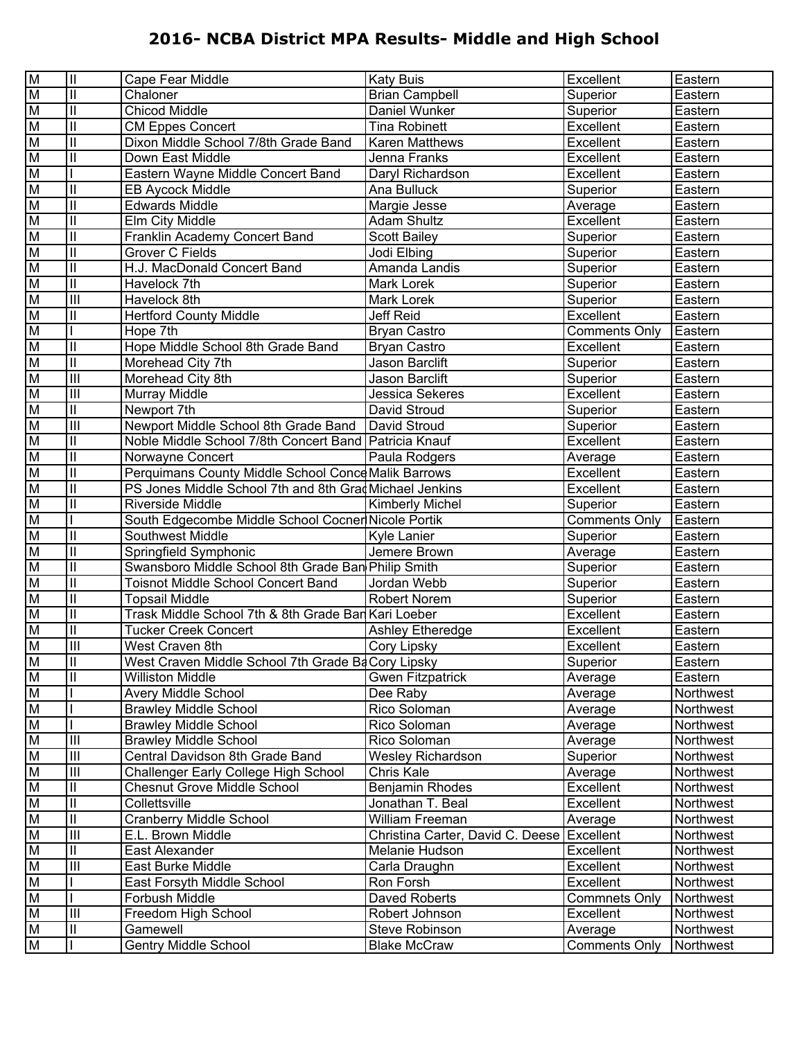| M  | $\mathbf{II}$              | Cape Fear Middle                                        | <b>Katy Buis</b>                           | Excellent            | Eastern   |
|----|----------------------------|---------------------------------------------------------|--------------------------------------------|----------------------|-----------|
| M  | $\overline{\mathbb{I}}$    | Chaloner                                                | <b>Brian Campbell</b>                      | Superior             | Eastern   |
| M  | $\overline{\mathbb{I}}$    | <b>Chicod Middle</b>                                    | Daniel Wunker                              | Superior             | Eastern   |
| M  | $\overline{\mathbb{I}}$    | <b>CM Eppes Concert</b>                                 | <b>Tina Robinett</b>                       | Excellent            | Eastern   |
| M  | $\overline{\mathbb{I}}$    | Dixon Middle School 7/8th Grade Band                    | Karen Matthews                             | Excellent            | Eastern   |
| M  | $\overline{\mathbb{I}}$    | Down East Middle                                        | Jenna Franks                               | Excellent            | Eastern   |
| M  |                            | Eastern Wayne Middle Concert Band                       | Daryl Richardson                           | Excellent            | Eastern   |
| M  | $\ensuremath{\mathsf{II}}$ | <b>EB Aycock Middle</b>                                 | Ana Bulluck                                | Superior             | Eastern   |
| M  | $\overline{\mathbf{u}}$    | <b>Edwards Middle</b>                                   | Margie Jesse                               | Average              | Eastern   |
| M  | $\overline{\mathbf{u}}$    | Elm City Middle                                         | <b>Adam Shultz</b>                         | Excellent            | Eastern   |
| M  | $\overline{\mathbf{u}}$    | Franklin Academy Concert Band                           | <b>Scott Bailey</b>                        | Superior             | Eastern   |
| M  | $\overline{\mathbb{I}}$    | <b>Grover C Fields</b>                                  | Jodi Elbing                                | Superior             | Eastern   |
| M  | $\overline{\mathbb{I}}$    | H.J. MacDonald Concert Band                             | Amanda Landis                              | Superior             | Eastern   |
| M  | $\overline{\mathbb{I}}$    | Havelock 7th                                            | Mark Lorek                                 | Superior             | Eastern   |
| M  | $\overline{III}$           | Havelock 8th                                            | Mark Lorek                                 | Superior             | Eastern   |
| M  | $\ensuremath{\mathsf{II}}$ | <b>Hertford County Middle</b>                           | Jeff Reid                                  | Excellent            | Eastern   |
| M  |                            | Hope 7th                                                | <b>Bryan Castro</b>                        | <b>Comments Only</b> | Eastern   |
| M  | $\mathbf{I}$               | Hope Middle School 8th Grade Band                       | <b>Bryan Castro</b>                        | Excellent            | Eastern   |
| M  | $\overline{\mathbb{I}}$    | Morehead City 7th                                       | Jason Barclift                             | Superior             | Eastern   |
| M  | $\overline{\mathbf{III}}$  | Morehead City 8th                                       | Jason Barclift                             | Superior             | Eastern   |
| M  | $\overline{III}$           | Murray Middle                                           | <b>Jessica Sekeres</b>                     | Excellent            | Eastern   |
| M  | $\overline{\mathbb{I}}$    | Newport 7th                                             | David Stroud                               | Superior             | Eastern   |
| M  | $\overline{\mathbf{III}}$  | Newport Middle School 8th Grade Band   David Stroud     |                                            | Superior             | Eastern   |
| M  | $\ensuremath{\mathsf{II}}$ | Noble Middle School 7/8th Concert Band   Patricia Knauf |                                            | Excellent            | Eastern   |
| M  | $\overline{\mathbf{u}}$    | Norwayne Concert                                        | Paula Rodgers                              | Average              | Eastern   |
| M  | $\mathsf{II}$              | Perquimans County Middle School Conce Malik Barrows     |                                            | Excellent            | Eastern   |
| M  | $\overline{\mathbf{u}}$    | PS Jones Middle School 7th and 8th Grad Michael Jenkins |                                            | Excellent            | Eastern   |
| M  | $\overline{\mathbf{u}}$    | Riverside Middle                                        | <b>Kimberly Michel</b>                     | Superior             | Eastern   |
| M  |                            | South Edgecombe Middle School Cocner Nicole Portik      |                                            | Comments Only        | Eastern   |
| M  | $\ensuremath{\mathsf{II}}$ | Southwest Middle                                        | <b>Kyle Lanier</b>                         | Superior             | Eastern   |
| M  | $\overline{\mathbf{u}}$    | Springfield Symphonic                                   | Jemere Brown                               | Average              | Eastern   |
| M  | $\overline{\mathbf{u}}$    | Swansboro Middle School 8th Grade Ban Philip Smith      |                                            | Superior             | Eastern   |
| M  | $\overline{\mathbf{u}}$    | <b>Toisnot Middle School Concert Band</b>               | Jordan Webb                                | Superior             | Eastern   |
| M  | $\mathsf{II}$              | <b>Topsail Middle</b>                                   | <b>Robert Norem</b>                        | Superior             | Eastern   |
| M  | $\overline{\mathbf{u}}$    | Trask Middle School 7th & 8th Grade Bar Kari Loeber     |                                            | Excellent            | Eastern   |
| M  | $\overline{\mathbb{I}}$    | <b>Tucker Creek Concert</b>                             | Ashley Etheredge                           | Excellent            | Eastern   |
| M  | $\overline{III}$           | West Craven 8th                                         | Cory Lipsky                                | Excellent            | Eastern   |
| ΙM | Ш                          | West Craven Middle School 7th Grade Ba Cory Lipsky      |                                            | Superior             | Eastern   |
| M  | $\overline{\mathbb{I}}$    | <b>Williston Middle</b>                                 | <b>Gwen Fitzpatrick</b>                    | Average              | Eastern   |
| M  |                            | Avery Middle School                                     | Dee Raby                                   | Average              | Northwest |
| M  |                            | <b>Brawley Middle School</b>                            | Rico Soloman                               | Average              | Northwest |
| M  |                            | <b>Brawley Middle School</b>                            | Rico Soloman                               | Average              | Northwest |
| M  | $\mathbf{III}$             | <b>Brawley Middle School</b>                            | Rico Soloman                               | Average              | Northwest |
| M  | $\mathbf{III}$             | Central Davidson 8th Grade Band                         | <b>Wesley Richardson</b>                   | Superior             | Northwest |
| M  | $\mathbf{III}$             | Challenger Early College High School                    | Chris Kale                                 | Average              | Northwest |
| M  | $\ensuremath{\mathsf{II}}$ | <b>Chesnut Grove Middle School</b>                      | <b>Benjamin Rhodes</b>                     | Excellent            | Northwest |
| M  | $\mathsf{II}$              | Collettsville                                           | Jonathan T. Beal                           | Excellent            | Northwest |
| M  | $\mathbf{I}$               | <b>Cranberry Middle School</b>                          | William Freeman                            | Average              | Northwest |
| M  | $\overline{\mathbb{H}}$    | E.L. Brown Middle                                       | Christina Carter, David C. Deese Excellent |                      | Northwest |
| M  | $\mathbf{I}$               | East Alexander                                          | Melanie Hudson                             | Excellent            | Northwest |
| M  | $\overline{\mathbb{H}}$    | East Burke Middle                                       | Carla Draughn                              | Excellent            | Northwest |
| M  |                            | East Forsyth Middle School                              | Ron Forsh                                  | Excellent            | Northwest |
| M  |                            | Forbush Middle                                          | Daved Roberts                              | <b>Commnets Only</b> | Northwest |
| M  | $\mathbf{III}$             | Freedom High School                                     | Robert Johnson                             | Excellent            | Northwest |
| M  | Ш                          | Gamewell                                                | Steve Robinson                             | Average              | Northwest |
| M  |                            | <b>Gentry Middle School</b>                             | <b>Blake McCraw</b>                        | <b>Comments Only</b> | Northwest |
|    |                            |                                                         |                                            |                      |           |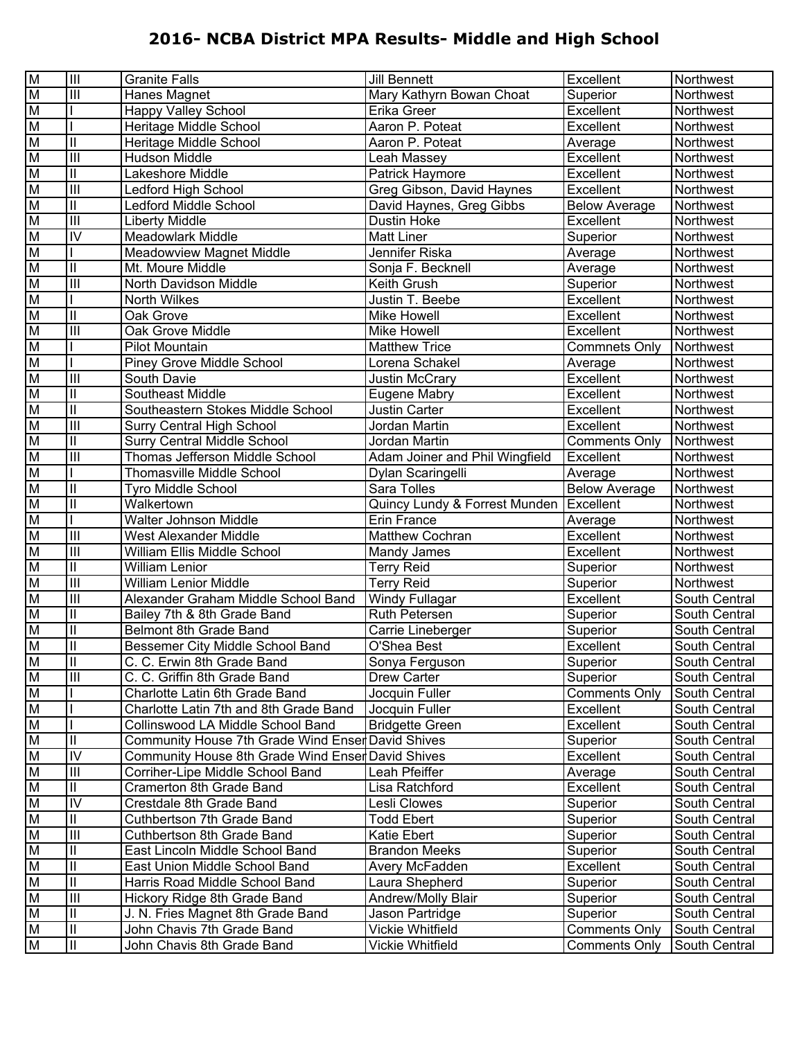| M         | $\overline{\mathbb{H}}$    | <b>Granite Falls</b>                              | <b>Jill Bennett</b>            | Excellent            | Northwest     |
|-----------|----------------------------|---------------------------------------------------|--------------------------------|----------------------|---------------|
| M         | $\overline{\mathsf{III}}$  | Hanes Magnet                                      | Mary Kathyrn Bowan Choat       | Superior             | Northwest     |
| M         |                            | <b>Happy Valley School</b>                        | Erika Greer                    | Excellent            | Northwest     |
| M         |                            | Heritage Middle School                            | Aaron P. Poteat                | Excellent            | Northwest     |
| M         | $\overline{\mathbf{u}}$    | Heritage Middle School                            | Aaron P. Poteat                | Average              | Northwest     |
| M         | $\overline{\mathbf{m}}$    | Hudson Middle                                     | Leah Massey                    | Excellent            | Northwest     |
| M         | $\overline{\mathbb{I}}$    | Lakeshore Middle                                  | Patrick Haymore                | Excellent            | Northwest     |
| M         | $\overline{\mathbf{m}}$    | Ledford High School                               | Greg Gibson, David Haynes      | Excellent            | Northwest     |
| M         | $\overline{\mathbb{I}}$    | Ledford Middle School                             | David Haynes, Greg Gibbs       | <b>Below Average</b> | Northwest     |
| M         | $\overline{\mathbf{III}}$  | <b>Liberty Middle</b>                             | <b>Dustin Hoke</b>             | Excellent            | Northwest     |
| M         | $\overline{N}$             | <b>Meadowlark Middle</b>                          | <b>Matt Liner</b>              | Superior             | Northwest     |
| M         |                            | Meadowview Magnet Middle                          | Jennifer Riska                 | Average              | Northwest     |
| M         | $\overline{\mathbf{u}}$    | Mt. Moure Middle                                  | Sonja F. Becknell              | Average              | Northwest     |
| M         | $\overline{\mathbf{m}}$    | North Davidson Middle                             | Keith Grush                    | Superior             | Northwest     |
| M         |                            | North Wilkes                                      | Justin T. Beebe                | Excellent            | Northwest     |
| M         | $\mathbf{I}$               | Oak Grove                                         | Mike Howell                    | Excellent            | Northwest     |
| M         | $\overline{\mathbf{III}}$  | Oak Grove Middle                                  | <b>Mike Howell</b>             | Excellent            | Northwest     |
| M         |                            | <b>Pilot Mountain</b>                             | <b>Matthew Trice</b>           | Commnets Only        | Northwest     |
| M         |                            | Piney Grove Middle School                         | Lorena Schakel                 | Average              | Northwest     |
| M         | $\overline{\mathbf{m}}$    | South Davie                                       | Justin McCrary                 | Excellent            | Northwest     |
| M         | $\overline{\mathbf{u}}$    | <b>Southeast Middle</b>                           | Eugene Mabry                   | Excellent            | Northwest     |
| M         | $\overline{\mathbf{u}}$    | Southeastern Stokes Middle School                 | Justin Carter                  | Excellent            | Northwest     |
| M         | $\overline{\mathbf{m}}$    | <b>Surry Central High School</b>                  | Jordan Martin                  | Excellent            | Northwest     |
| M         | $\mathbf{I}$               | <b>Surry Central Middle School</b>                | Jordan Martin                  | <b>Comments Only</b> | Northwest     |
| M         | $\overline{\mathbf{m}}$    | Thomas Jefferson Middle School                    | Adam Joiner and Phil Wingfield | Excellent            | Northwest     |
| M         |                            | <b>Thomasville Middle School</b>                  | Dylan Scaringelli              | Average              | Northwest     |
| M         | $\mathbf{I}$               | Tyro Middle School                                | Sara Tolles                    | <b>Below Average</b> | Northwest     |
| M         | $\mathbf{I}$               | Walkertown                                        | Quincy Lundy & Forrest Munden  | Excellent            | Northwest     |
| M         |                            | Walter Johnson Middle                             | Erin France                    | Average              | Northwest     |
| M         | $\overline{III}$           | West Alexander Middle                             | Matthew Cochran                | Excellent            | Northwest     |
| M         | $\overline{\mathbf{m}}$    | William Ellis Middle School                       | Mandy James                    | Excellent            | Northwest     |
| M         | $\overline{\mathbb{I}}$    | William Lenior                                    | <b>Terry Reid</b>              | Superior             | Northwest     |
| M         | $\overline{\mathbf{m}}$    | <b>William Lenior Middle</b>                      | <b>Terry Reid</b>              | Superior             | Northwest     |
| M         | $\overline{\mathbf{m}}$    | Alexander Graham Middle School Band               | <b>Windy Fullagar</b>          | Excellent            | South Central |
| M         | $\overline{\mathbf{u}}$    | Bailey 7th & 8th Grade Band                       | <b>Ruth Petersen</b>           | Superior             | South Central |
| M         | $\mathbf{  }$              | Belmont 8th Grade Band                            | Carrie Lineberger              | Superior             | South Central |
| M         | $\overline{\mathbb{I}}$    | Bessemer City Middle School Band                  | O'Shea Best                    | Excellent            | South Central |
| гт<br>  M | Ш                          | C. C. Erwin 8th Grade Band                        | Sonya Ferguson                 | Superior             | South Central |
| M         | $\overline{\mathbb{H}}$    | C. C. Griffin 8th Grade Band                      | <b>Drew Carter</b>             | Superior             | South Central |
| M         |                            | Charlotte Latin 6th Grade Band                    | Jocquin Fuller                 | <b>Comments Only</b> | South Central |
| M         |                            | Charlotte Latin 7th and 8th Grade Band            | Jocquin Fuller                 | Excellent            | South Central |
| M         |                            | Collinswood LA Middle School Band                 | <b>Bridgette Green</b>         | Excellent            | South Central |
| M         | $\mathbf{II}$              | Community House 7th Grade Wind Enser David Shives |                                | Superior             | South Central |
| M         | $\overline{N}$             | <b>Community House 8th Grade Wind Enser</b>       | David Shives                   | Excellent            | South Central |
| M         | $\overline{III}$           | Corriher-Lipe Middle School Band                  | Leah Pfeiffer                  | Average              | South Central |
| M         | $\ensuremath{\mathsf{II}}$ | Cramerton 8th Grade Band                          | Lisa Ratchford                 | Excellent            | South Central |
| M         | $\overline{N}$             | Crestdale 8th Grade Band                          | Lesli Clowes                   | Superior             | South Central |
| M         | $\ensuremath{\mathsf{II}}$ | Cuthbertson 7th Grade Band                        | <b>Todd Ebert</b>              | Superior             | South Central |
| M         | $\overline{III}$           | Cuthbertson 8th Grade Band                        | Katie Ebert                    | Superior             | South Central |
| M         | $\ensuremath{\mathsf{II}}$ | East Lincoln Middle School Band                   | <b>Brandon Meeks</b>           | Superior             | South Central |
| M         | $\overline{\mathbb{I}}$    | East Union Middle School Band                     | Avery McFadden                 | Excellent            | South Central |
| M         | $\overline{\mathbf{u}}$    | Harris Road Middle School Band                    | Laura Shepherd                 | Superior             | South Central |
| M         | $\overline{\mathbf{III}}$  | Hickory Ridge 8th Grade Band                      | Andrew/Molly Blair             | Superior             | South Central |
| M         | $\mathbf{I}$               | J. N. Fries Magnet 8th Grade Band                 | Jason Partridge                | Superior             | South Central |
| M         | $\mathsf{II}%$             | John Chavis 7th Grade Band                        | Vickie Whitfield               | <b>Comments Only</b> | South Central |
| M         | $\overline{\mathbf{u}}$    | John Chavis 8th Grade Band                        | Vickie Whitfield               | <b>Comments Only</b> | South Central |
|           |                            |                                                   |                                |                      |               |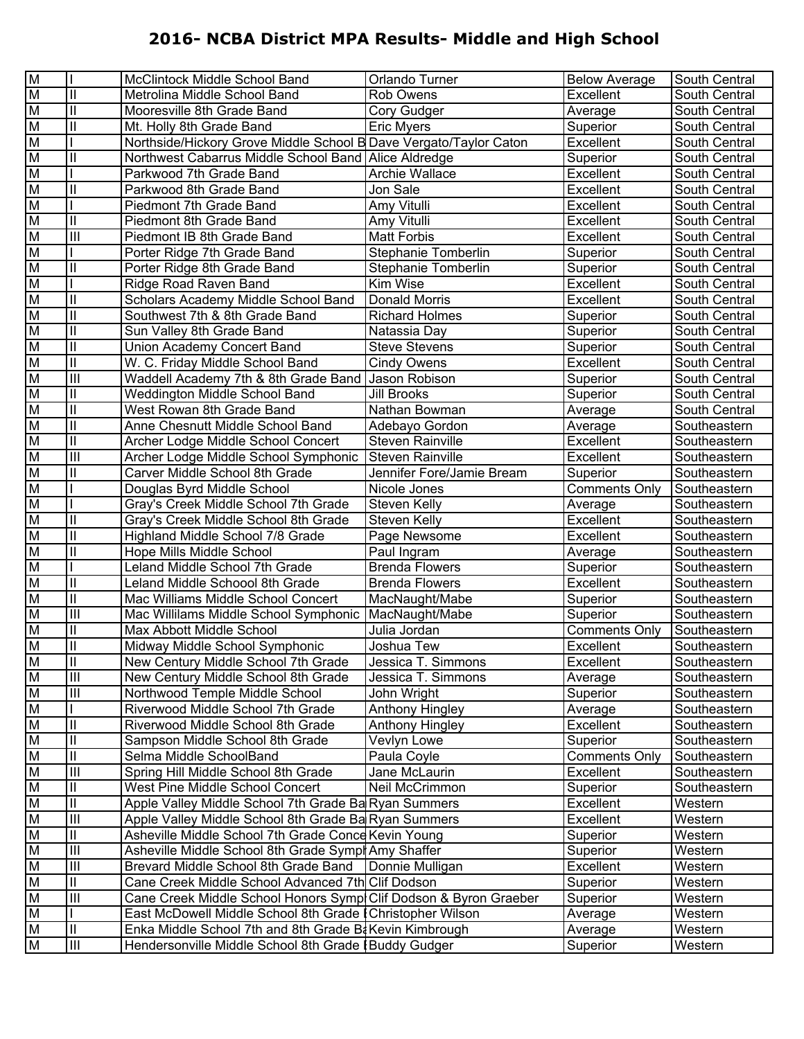| M  |                                       | McClintock Middle School Band                                     | Orlando Turner            | <b>Below Average</b> | South Central |
|----|---------------------------------------|-------------------------------------------------------------------|---------------------------|----------------------|---------------|
| M  | $\mathbf{I}$                          | Metrolina Middle School Band                                      | <b>Rob Owens</b>          | Excellent            | South Central |
| M  | $\mathbf{  }$                         | Mooresville 8th Grade Band                                        | Cory Gudger               | Average              | South Central |
| M  | Ш                                     | Mt. Holly 8th Grade Band                                          | <b>Eric Myers</b>         | Superior             | South Central |
| M  |                                       | Northside/Hickory Grove Middle School B Dave Vergato/Taylor Caton |                           | Excellent            | South Central |
| M  | $\mathbf{  }$                         | Northwest Cabarrus Middle School Band Alice Aldredge              |                           | Superior             | South Central |
| M  |                                       | Parkwood 7th Grade Band                                           | <b>Archie Wallace</b>     | Excellent            | South Central |
| M  | $\mathbf{I}$                          | Parkwood 8th Grade Band                                           | Jon Sale                  | Excellent            | South Central |
| M  |                                       | Piedmont 7th Grade Band                                           | Amy Vitulli               | Excellent            | South Central |
| M  | $\mathbf{  }$                         | Piedmont 8th Grade Band                                           | Amy Vitulli               | Excellent            | South Central |
| M  | $\mathbf{III}$                        | Piedmont IB 8th Grade Band                                        | <b>Matt Forbis</b>        | Excellent            | South Central |
| M  |                                       | Porter Ridge 7th Grade Band                                       | Stephanie Tomberlin       | Superior             | South Central |
| M  | $\mathbf{  }$                         | Porter Ridge 8th Grade Band                                       | Stephanie Tomberlin       | Superior             | South Central |
| M  |                                       | Ridge Road Raven Band                                             | Kim Wise                  | Excellent            | South Central |
| M  | $\mathbf{I}$                          | Scholars Academy Middle School Band                               | <b>Donald Morris</b>      | Excellent            | South Central |
| M  | $\mathbf{  }$                         | Southwest 7th & 8th Grade Band                                    | <b>Richard Holmes</b>     | Superior             | South Central |
| M  | $\mathbf{I}$                          | Sun Valley 8th Grade Band                                         | Natassia Day              | Superior             | South Central |
| M  | $\mathbf{I}$                          | Union Academy Concert Band                                        | <b>Steve Stevens</b>      | Superior             | South Central |
| M  | $\mathbf{I}$                          | W. C. Friday Middle School Band                                   | <b>Cindy Owens</b>        | Excellent            | South Central |
| M  | $\overline{\mathbb{I}}$               | Waddell Academy 7th & 8th Grade Band   Jason Robison              |                           | Superior             | South Central |
| M  | Ш                                     | Weddington Middle School Band                                     | <b>Jill Brooks</b>        | Superior             | South Central |
| M  | $\mathbf{I}$                          | West Rowan 8th Grade Band                                         | Nathan Bowman             | Average              | South Central |
| M  | $\mathbf{I}$                          | Anne Chesnutt Middle School Band                                  | Adebayo Gordon            | Average              | Southeastern  |
| M  | $\mathbf{I}$                          | Archer Lodge Middle School Concert                                | Steven Rainville          | Excellent            | Southeastern  |
| M  | $\mathbf{III}$                        | Archer Lodge Middle School Symphonic                              | <b>Steven Rainville</b>   | Excellent            | Southeastern  |
| M  | Ш                                     | Carver Middle School 8th Grade                                    | Jennifer Fore/Jamie Bream | Superior             | Southeastern  |
| M  |                                       | Douglas Byrd Middle School                                        | Nicole Jones              | <b>Comments Only</b> | Southeastern  |
| M  |                                       | Gray's Creek Middle School 7th Grade                              | Steven Kelly              | Average              | Southeastern  |
| M  | $\mathbf{  }$                         | Gray's Creek Middle School 8th Grade                              | Steven Kelly              | Excellent            | Southeastern  |
| M  | $\mathbf{I}$                          | Highland Middle School 7/8 Grade                                  | Page Newsome              | Excellent            | Southeastern  |
| M  | $\mathbf{I}$                          | Hope Mills Middle School                                          | Paul Ingram               | Average              | Southeastern  |
| M  |                                       | Leland Middle School 7th Grade                                    | <b>Brenda Flowers</b>     | Superior             | Southeastern  |
| M  | $\mathbf{II}$                         | Leland Middle Schoool 8th Grade                                   | <b>Brenda Flowers</b>     | Excellent            | Southeastern  |
| M  | $\mathbf{I}$                          | Mac Williams Middle School Concert                                | MacNaught/Mabe            | Superior             | Southeastern  |
| M  | $\mathbf{III}$                        | Mac Willilams Middle School Symphonic                             | MacNaught/Mabe            | Superior             | Southeastern  |
| M  | Ш                                     | Max Abbott Middle School                                          | Julia Jordan              | <b>Comments Only</b> | Southeastern  |
| M  | $\begin{array}{c} \hline \end{array}$ | Midway Middle School Symphonic                                    | Joshua Tew                | Excellent            | Southeastern  |
| ΙM | $\mathbf{II}$                         | New Century Middle School 7th Grade                               | Jessica T. Simmons        | Excellent            | Southeastern  |
| M  | $\overline{III}$                      | New Century Middle School 8th Grade                               | Jessica T. Simmons        | Average              | Southeastern  |
| M  | $\ensuremath{\mathsf{III}}\xspace$    | Northwood Temple Middle School                                    | John Wright               | Superior             | Southeastern  |
| M  |                                       | Riverwood Middle School 7th Grade                                 | <b>Anthony Hingley</b>    | Average              | Southeastern  |
| M  | $\mathbf{  }$                         | Riverwood Middle School 8th Grade                                 | <b>Anthony Hingley</b>    | Excellent            | Southeastern  |
| M  | $\mathbf{  }$                         | Sampson Middle School 8th Grade                                   | Vevlyn Lowe               | Superior             | Southeastern  |
| M  | $\mathbf{I}$                          | Selma Middle SchoolBand                                           | Paula Coyle               | <b>Comments Only</b> | Southeastern  |
| M  | $\overline{\mathbb{H}}$               | Spring Hill Middle School 8th Grade                               | Jane McLaurin             | Excellent            | Southeastern  |
| M  | Ш                                     | West Pine Middle School Concert                                   | Neil McCrimmon            | Superior             | Southeastern  |
| M  | $\mathbf{I}$                          | Apple Valley Middle School 7th Grade Ba Ryan Summers              |                           | Excellent            | Western       |
| M  | $\begin{array}{c} \hline \end{array}$ | Apple Valley Middle School 8th Grade Ba Ryan Summers              |                           | Excellent            | Western       |
| M  | $\mathbf{II}$                         | Asheville Middle School 7th Grade Conce Kevin Young               |                           | Superior             | Western       |
| M  | $\begin{array}{c} \hline \end{array}$ | Asheville Middle School 8th Grade Sympl Amy Shaffer               |                           | Superior             | Western       |
| M  | $\begin{array}{c} \hline \end{array}$ | Brevard Middle School 8th Grade Band                              | Donnie Mulligan           | Excellent            | Western       |
| M  | Ш                                     | Cane Creek Middle School Advanced 7th Clif Dodson                 |                           | Superior             | Western       |
| M  | $\begin{array}{c} \hline \end{array}$ | Cane Creek Middle School Honors Symp Clif Dodson & Byron Graeber  |                           | Superior             | Western       |
| M  |                                       | East McDowell Middle School 8th Grade   Christopher Wilson        |                           | Average              | Western       |
| M  | $\mathsf{I}$                          | Enka Middle School 7th and 8th Grade Ba Kevin Kimbrough           |                           | Average              | Western       |
| M  | $\ensuremath{\mathsf{III}}\xspace$    | Hendersonville Middle School 8th Grade   Buddy Gudger             |                           | Superior             | Western       |
|    |                                       |                                                                   |                           |                      |               |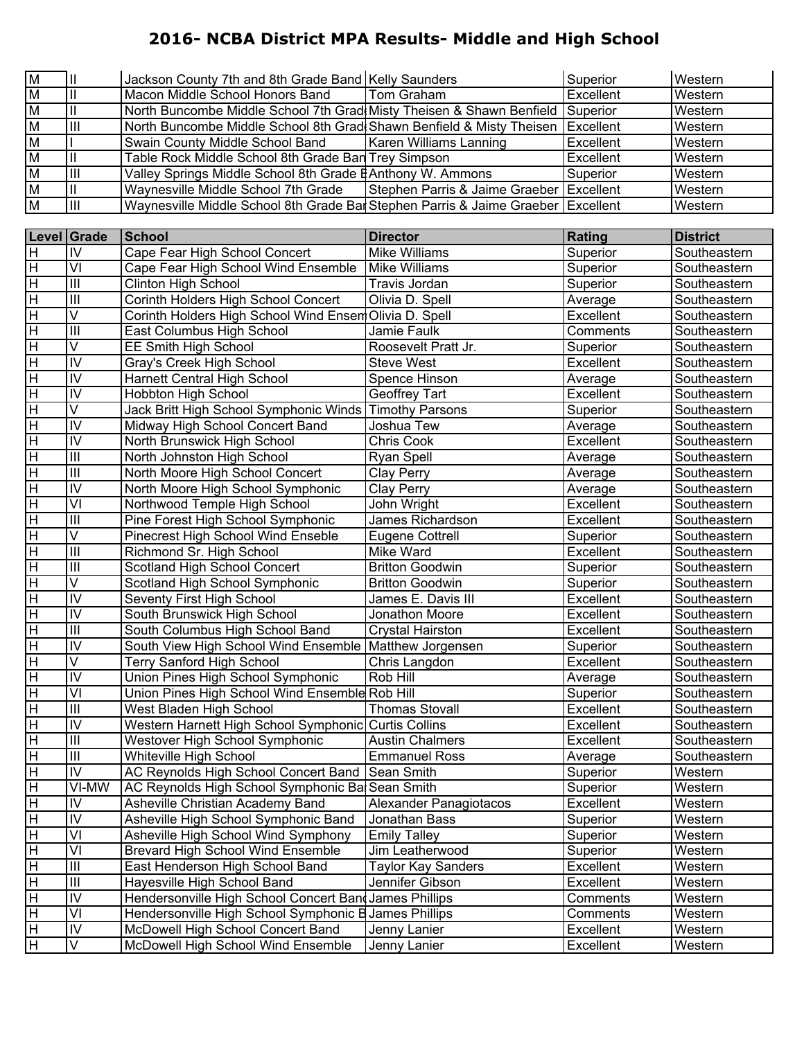| M              |    | Jackson County 7th and 8th Grade Band Kelly Saunders                               |                                          | Superior         | Western |
|----------------|----|------------------------------------------------------------------------------------|------------------------------------------|------------------|---------|
| M              |    | Macon Middle School Honors Band                                                    | Tom Graham                               | Excellent        | Western |
| $\overline{M}$ |    | North Buncombe Middle School 7th Grad Misty Theisen & Shawn Benfield               |                                          | Superior         | Western |
| M              |    | North Buncombe Middle School 8th Grad Shawn Benfield & Misty Theisen   Excellent   |                                          |                  | Western |
| $\overline{M}$ |    | Swain County Middle School Band                                                    | <b>Karen Williams Lanning</b>            | <b>Excellent</b> | Western |
| $\overline{M}$ |    | Table Rock Middle School 8th Grade Ban Trey Simpson                                |                                          | <b>Excellent</b> | Western |
| M              | Ш  | Valley Springs Middle School 8th Grade EAnthony W. Ammons                          |                                          | Superior         | Western |
| $\overline{M}$ |    | Waynesville Middle School 7th Grade                                                | Stephen Parris & Jaime Graeber Excellent |                  | Western |
| $\overline{M}$ | ШL | Waynesville Middle School 8th Grade Bal Stephen Parris & Jaime Graeber   Excellent |                                          |                  | Western |

|                                    | Level Grade             | School                                                   | <b>Director</b>           | <b>Rating</b> | <b>District</b> |
|------------------------------------|-------------------------|----------------------------------------------------------|---------------------------|---------------|-----------------|
| H                                  | IV                      | Cape Fear High School Concert                            | <b>Mike Williams</b>      | Superior      | Southeastern    |
| $\overline{H}$                     | VI                      | Cape Fear High School Wind Ensemble                      | <b>Mike Williams</b>      | Superior      | Southeastern    |
| $\overline{\mathsf{H}}$            | $\mathbf{III}$          | <b>Clinton High School</b>                               | Travis Jordan             | Superior      | Southeastern    |
| $\overline{\mathsf{H}}$            | $\mathbf{III}$          | Corinth Holders High School Concert                      | Olivia D. Spell           | Average       | Southeastern    |
| $\overline{\mathsf{H}}$            | V                       | Corinth Holders High School Wind Ensem Olivia D. Spell   |                           | Excellent     | Southeastern    |
| $\overline{\overline{H}}$          | $\overline{\mathbb{I}}$ | East Columbus High School                                | Jamie Faulk               | Comments      | Southeastern    |
| $\overline{\mathsf{H}}$            | $\overline{\mathsf{V}}$ | <b>EE Smith High School</b>                              | Roosevelt Pratt Jr.       | Superior      | Southeastern    |
| $\overline{\mathsf{H}}$            | $\overline{\mathsf{N}}$ | Gray's Creek High School                                 | <b>Steve West</b>         | Excellent     | Southeastern    |
| $\overline{\mathsf{H}}$            | $\overline{N}$          | Harnett Central High School                              | Spence Hinson             | Average       | Southeastern    |
| $\overline{\mathsf{H}}$            | $\overline{N}$          | <b>Hobbton High School</b>                               | Geoffrey Tart             | Excellent     | Southeastern    |
| $\overline{H}$                     | $\overline{\mathsf{V}}$ | Jack Britt High School Symphonic Winds Timothy Parsons   |                           | Superior      | Southeastern    |
| $\overline{\mathsf{H}}$            | $\overline{N}$          | Midway High School Concert Band                          | Joshua Tew                | Average       | Southeastern    |
| $\overline{\mathsf{H}}$            | $\overline{N}$          | North Brunswick High School                              | Chris Cook                | Excellent     | Southeastern    |
| $\overline{\mathsf{H}}$            | $\overline{\mathbb{I}}$ | North Johnston High School                               | Ryan Spell                | Average       | Southeastern    |
| $\overline{\mathsf{H}}$            | $\overline{\mathbb{I}}$ | North Moore High School Concert                          | Clay Perry                | Average       | Southeastern    |
| $\overline{\mathsf{H}}$            | $\overline{N}$          | North Moore High School Symphonic                        | <b>Clay Perry</b>         | Average       | Southeastern    |
| $\overline{H}$                     | $\overline{\mathsf{v}}$ | Northwood Temple High School                             | John Wright               | Excellent     | Southeastern    |
| $\overline{\mathsf{H}}$            | $\mathbf{III}$          | Pine Forest High School Symphonic                        | James Richardson          | Excellent     | Southeastern    |
| $\overline{H}$                     | $\overline{\mathsf{V}}$ | Pinecrest High School Wind Enseble                       | <b>Eugene Cottrell</b>    | Superior      | Southeastern    |
| $\overline{H}$                     | $\overline{\mathbb{I}}$ | Richmond Sr. High School                                 | Mike Ward                 | Excellent     | Southeastern    |
| $\overline{\mathsf{H}}$            | $\overline{\mathbb{I}}$ | Scotland High School Concert                             | <b>Britton Goodwin</b>    | Superior      | Southeastern    |
| $\overline{\mathsf{H}}$            | $\overline{\mathsf{V}}$ | Scotland High School Symphonic                           | <b>Britton Goodwin</b>    | Superior      | Southeastern    |
| $\overline{\overline{H}}$          | $\overline{N}$          | Seventy First High School                                | James E. Davis III        | Excellent     | Southeastern    |
| $\overline{\mathsf{H}}$            | $\overline{N}$          | South Brunswick High School                              | Jonathon Moore            | Excellent     | Southeastern    |
| $\overline{\mathsf{H}}$            | $\overline{\mathbb{I}}$ | South Columbus High School Band                          | Crystal Hairston          | Excellent     | Southeastern    |
| $\overline{\mathsf{H}}$            | $\overline{N}$          | South View High School Wind Ensemble   Matthew Jorgensen |                           | Superior      | Southeastern    |
| $\overline{H}$                     | V                       | <b>Terry Sanford High School</b>                         | Chris Langdon             | Excellent     | Southeastern    |
| $\overline{\mathsf{H}}$            | $\overline{N}$          | Union Pines High School Symphonic                        | Rob Hill                  | Average       | Southeastern    |
| $\overline{\mathsf{H}}$            | $\overline{\mathsf{v}}$ | Union Pines High School Wind Ensemble Rob Hill           |                           | Superior      | Southeastern    |
| $\overline{\mathsf{H}}$            | $\overline{\mathbb{I}}$ | West Bladen High School                                  | <b>Thomas Stovall</b>     | Excellent     | Southeastern    |
| $\overline{\overline{H}}$          | $\overline{N}$          | Western Harnett High School Symphonic Curtis Collins     |                           | Excellent     | Southeastern    |
| $\overline{\mathsf{H}}$            | $\overline{\mathbb{I}}$ | Westover High School Symphonic                           | <b>Austin Chalmers</b>    | Excellent     | Southeastern    |
| $\overline{\mathsf{H}}$            | $\mathbf{III}$          | Whiteville High School                                   | <b>Emmanuel Ross</b>      | Average       | Southeastern    |
| $\overline{H}$                     | $\overline{N}$          | AC Reynolds High School Concert Band Sean Smith          |                           | Superior      | Western         |
| $\overline{H}$                     | VI-MW                   | AC Reynolds High School Symphonic Ba Sean Smith          |                           | Superior      | Western         |
| $\overline{H}$                     | IV                      | Asheville Christian Academy Band                         | Alexander Panagiotacos    | Excellent     | Western         |
| <u>Ін</u>                          | IV                      | Asheville High School Symphonic Band                     | Jonathan Bass             | Superior      | Western         |
| $\overline{\overline{\mathsf{H}}}$ | $\overline{\mathsf{V}}$ | Asheville High School Wind Symphony                      | <b>Emily Talley</b>       | Superior      | Western         |
| $\overline{H}$                     | VI                      | <b>Brevard High School Wind Ensemble</b>                 | Jim Leatherwood           | Superior      | Western         |
| $\overline{H}$                     | $\mathbf{III}$          | East Henderson High School Band                          | <b>Taylor Kay Sanders</b> | Excellent     | Western         |
| $\overline{H}$                     | $\mathbf{III}$          | Hayesville High School Band                              | Jennifer Gibson           | Excellent     | Western         |
| $\overline{H}$                     | IV                      | Hendersonville High School Concert Band James Phillips   |                           | Comments      | Western         |
| $\overline{H}$                     | VI                      | Hendersonville High School Symphonic B                   | James Phillips            | Comments      | Western         |
| $\overline{\mathbf{H}}$            | IV                      | McDowell High School Concert Band                        | Jenny Lanier              | Excellent     | Western         |
| $\overline{\mathsf{H}}$            | $\overline{\mathsf{V}}$ | McDowell High School Wind Ensemble                       | Jenny Lanier              | Excellent     | Western         |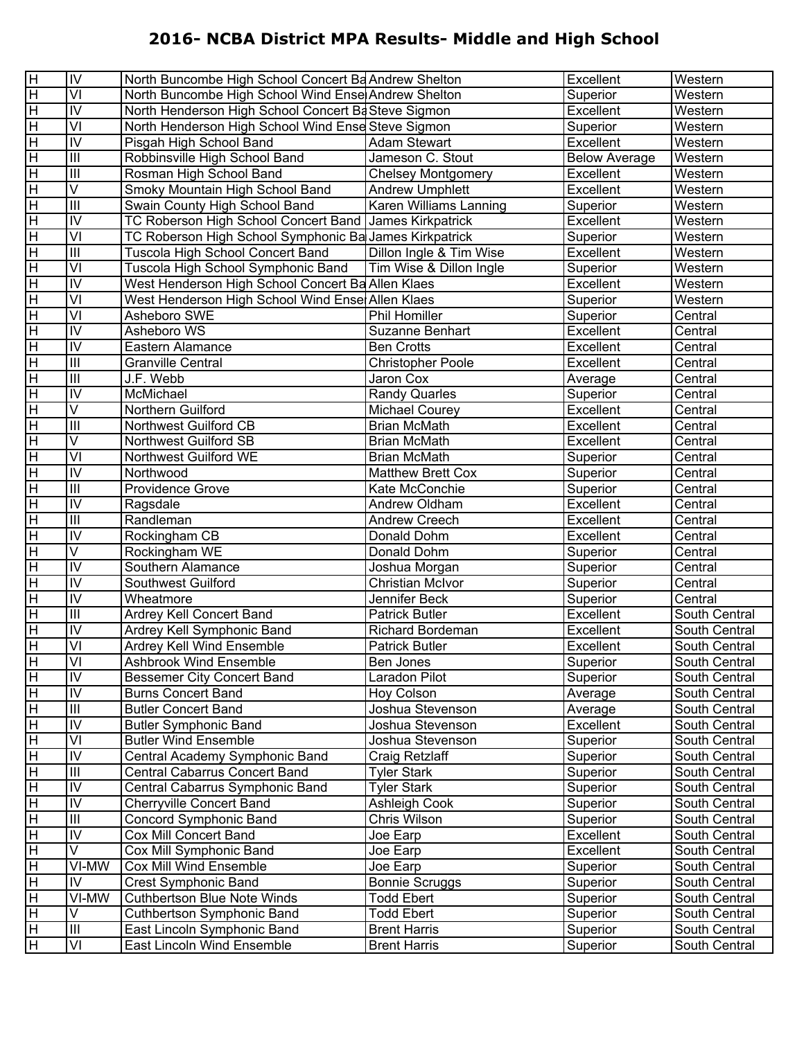| $\overline{\mathsf{H}}$ | IV                      | North Buncombe High School Concert Ba Andrew Shelton   |                           | Excellent            | Western       |
|-------------------------|-------------------------|--------------------------------------------------------|---------------------------|----------------------|---------------|
| $\overline{H}$          | VI                      | North Buncombe High School Wind Ense Andrew Shelton    |                           | Superior             | Western       |
| $\overline{H}$          | IV                      | North Henderson High School Concert Ba Steve Sigmon    |                           | Excellent            | Western       |
| $\overline{H}$          | VI                      | North Henderson High School Wind Ense Steve Sigmon     |                           | Superior             | Western       |
| $\overline{H}$          | IV                      | Pisgah High School Band                                | <b>Adam Stewart</b>       | Excellent            | Western       |
| $\overline{H}$          | III                     | Robbinsville High School Band                          | Jameson C. Stout          | <b>Below Average</b> | Western       |
| $\overline{H}$          | III                     | Rosman High School Band                                | <b>Chelsey Montgomery</b> | Excellent            | Western       |
| $\overline{H}$          | V                       | Smoky Mountain High School Band                        | <b>Andrew Umphlett</b>    | Excellent            | Western       |
| $\overline{H}$          | $\overline{\mathbb{H}}$ | Swain County High School Band                          | Karen Williams Lanning    | Superior             | Western       |
| $\overline{H}$          | IV                      | TC Roberson High School Concert Band James Kirkpatrick |                           | Excellent            | Western       |
| $\overline{H}$          | VI                      | TC Roberson High School Symphonic Ba James Kirkpatrick |                           | Superior             | Western       |
| H                       | III                     | Tuscola High School Concert Band                       | Dillon Ingle & Tim Wise   | Excellent            | Western       |
| $\overline{H}$          | VI                      | Tuscola High School Symphonic Band                     | Tim Wise & Dillon Ingle   | Superior             | Western       |
| $\overline{H}$          | IV                      | West Henderson High School Concert Ba Allen Klaes      |                           | Excellent            | Western       |
| $\overline{H}$          | VI                      | West Henderson High School Wind Ense Allen Klaes       |                           | Superior             | Western       |
| $\overline{H}$          | VI                      | Asheboro SWE                                           | Phil Homiller             | Superior             | Central       |
| $\overline{H}$          | IV                      | Asheboro WS                                            | <b>Suzanne Benhart</b>    | Excellent            | Central       |
| $\overline{H}$          | IV                      | Eastern Alamance                                       | <b>Ben Crotts</b>         | Excellent            | Central       |
| $\overline{H}$          | III                     | <b>Granville Central</b>                               | <b>Christopher Poole</b>  | Excellent            | Central       |
| $\overline{H}$          | III                     | J.F. Webb                                              | Jaron Cox                 | Average              | Central       |
| $\overline{H}$          | IV                      | McMichael                                              | <b>Randy Quarles</b>      | Superior             | Central       |
| H                       | V                       | Northern Guilford                                      | Michael Courey            | Excellent            | Central       |
| $\overline{H}$          | $\overline{III}$        | Northwest Guilford CB                                  | <b>Brian McMath</b>       | Excellent            | Central       |
| $\overline{H}$          | $\overline{\mathsf{V}}$ | Northwest Guilford SB                                  | <b>Brian McMath</b>       | Excellent            | Central       |
| $\overline{H}$          | VI                      | Northwest Guilford WE                                  | <b>Brian McMath</b>       | Superior             | Central       |
| $\overline{H}$          | IV                      | Northwood                                              | <b>Matthew Brett Cox</b>  | Superior             | Central       |
| $\overline{H}$          | III                     | Providence Grove                                       | Kate McConchie            | Superior             | Central       |
| $\overline{H}$          | IV                      | Ragsdale                                               | Andrew Oldham             | Excellent            | Central       |
| $\overline{H}$          | III                     | Randleman                                              | Andrew Creech             | Excellent            | Central       |
| $\overline{H}$          | IV                      | Rockingham CB                                          | Donald Dohm               | Excellent            | Central       |
| $\overline{H}$          | V                       | Rockingham WE                                          | Donald Dohm               | Superior             | Central       |
| $\overline{H}$          | IV                      | Southern Alamance                                      | Joshua Morgan             | Superior             | Central       |
| $\overline{H}$          | IV                      | Southwest Guilford                                     | Christian McIvor          | Superior             | Central       |
| H                       | IV                      | Wheatmore                                              | Jennifer Beck             | Superior             | Central       |
| $\overline{H}$          | $\overline{\mathbb{H}}$ | Ardrey Kell Concert Band                               | <b>Patrick Butler</b>     | Excellent            | South Central |
| $\overline{H}$          | IV                      | Ardrey Kell Symphonic Band                             | <b>Richard Bordeman</b>   | Excellent            | South Central |
| $\overline{\mathsf{H}}$ | VI                      | Ardrey Kell Wind Ensemble                              | <b>Patrick Butler</b>     | Excellent            | South Central |
| ΙH                      | VI                      | <b>Ashbrook Wind Ensemble</b>                          | Ben Jones                 | Superior             | South Central |
| H                       | IV                      | <b>Bessemer City Concert Band</b>                      | Laradon Pilot             | Superior             | South Central |
| $\overline{H}$          | IV                      | <b>Burns Concert Band</b>                              | Hov Colson                | Average              | South Central |
| $\overline{H}$          | Ш                       | <b>Butler Concert Band</b>                             | Joshua Stevenson          | Average              | South Central |
| $\overline{H}$          | IV                      | <b>Butler Symphonic Band</b>                           | Joshua Stevenson          | Excellent            | South Central |
| H                       | VI                      | <b>Butler Wind Ensemble</b>                            | Joshua Stevenson          | Superior             | South Central |
| H                       | IV                      | Central Academy Symphonic Band                         | Craig Retzlaff            | Superior             | South Central |
| H                       | $\mathbf{III}$          | Central Cabarrus Concert Band                          | <b>Tyler Stark</b>        | Superior             | South Central |
| $\overline{H}$          | IV                      | Central Cabarrus Symphonic Band                        | <b>Tyler Stark</b>        | Superior             | South Central |
| $\overline{H}$          | IV                      | <b>Cherryville Concert Band</b>                        | Ashleigh Cook             | Superior             | South Central |
| $\overline{H}$          | III                     | Concord Symphonic Band                                 | Chris Wilson              | Superior             | South Central |
| $\overline{H}$          | IV                      | <b>Cox Mill Concert Band</b>                           | Joe Earp                  | Excellent            | South Central |
| Ε                       | V                       | Cox Mill Symphonic Band                                | Joe Earp                  | Excellent            | South Central |
| Ε                       | VI-MW                   | Cox Mill Wind Ensemble                                 | Joe Earp                  | Superior             | South Central |
| Ε                       | IV                      | <b>Crest Symphonic Band</b>                            | <b>Bonnie Scruggs</b>     | Superior             | South Central |
| E                       | VI-MW                   | <b>Cuthbertson Blue Note Winds</b>                     | <b>Todd Ebert</b>         | Superior             | South Central |
| E                       | V                       | <b>Cuthbertson Symphonic Band</b>                      | <b>Todd Ebert</b>         | Superior             | South Central |
| $\mathbf{H}$            | $\mathbf{III}$          | East Lincoln Symphonic Band                            | <b>Brent Harris</b>       | Superior             | South Central |
| $\overline{\mathsf{H}}$ | VI                      | East Lincoln Wind Ensemble                             | <b>Brent Harris</b>       | Superior             | South Central |
|                         |                         |                                                        |                           |                      |               |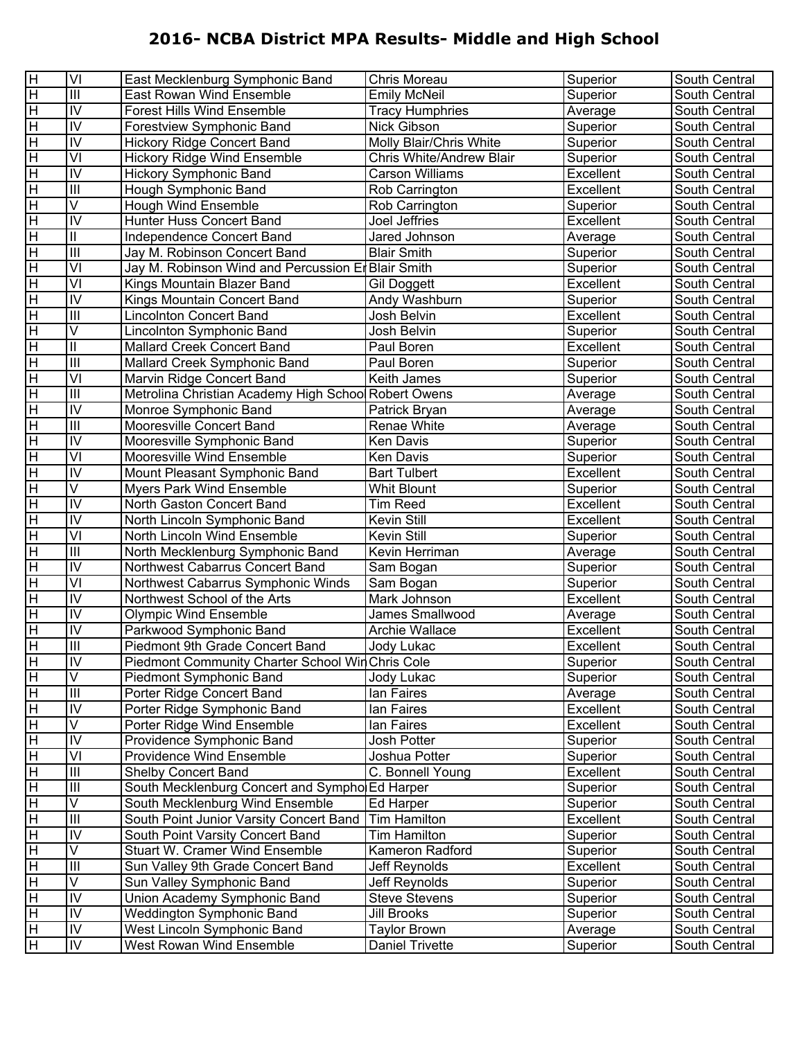| $\overline{\mathbf{H}}$<br>$\overline{III}$<br><b>Emily McNeil</b><br>Superior<br>East Rowan Wind Ensemble<br>South Central<br>$\overline{\mathbf{H}}$<br>$\overline{N}$<br><b>Forest Hills Wind Ensemble</b><br><b>Tracy Humphries</b><br>Average<br>South Central<br>$\overline{N}$<br>$\overline{\mathbf{H}}$<br>Nick Gibson<br>Superior<br>Forestview Symphonic Band<br>South Central<br>$\overline{N}$<br>$\overline{\mathbf{H}}$<br><b>Hickory Ridge Concert Band</b><br>Molly Blair/Chris White<br>Superior<br>South Central<br>$\overline{V}$<br>$\pm$<br><b>Hickory Ridge Wind Ensemble</b><br>Chris White/Andrew Blair<br>Superior<br>South Central<br>$\overline{N}$<br>$\pm$<br><b>Hickory Symphonic Band</b><br>Excellent<br><b>Carson Williams</b><br>South Central<br>$\overline{\mathbb{H}}$<br>$\pm$<br>Hough Symphonic Band<br>Rob Carrington<br>Excellent<br>South Central<br>$\overline{\vee}$<br>$\pm$<br><b>Hough Wind Ensemble</b><br>Rob Carrington<br>Superior<br>South Central<br>$\overline{N}$<br>$\overline{\mathbf{H}}$<br>Hunter Huss Concert Band<br>Excellent<br>Joel Jeffries<br>South Central<br>$\overline{\mathbf{H}}$<br>$\overline{\mathbb{I}}$<br>Jared Johnson<br>Independence Concert Band<br>Average<br>South Central<br>$\overline{\mathbb{H}}$<br>$\overline{\mathbf{H}}$<br><b>Blair Smith</b><br>Jay M. Robinson Concert Band<br>Superior<br>South Central<br>$\overline{V}$<br>$\pm$<br><b>Blair Smith</b><br>Superior<br>Jay M. Robinson Wind and Percussion Er<br>South Central<br>$\overline{\mathsf{V}}$<br>$\pm$<br>Excellent<br>Kings Mountain Blazer Band<br>South Central<br><b>Gil Doggett</b><br>$\overline{N}$<br>$\overline{\mathbf{H}}$<br>Andy Washburn<br>Kings Mountain Concert Band<br>Superior<br>South Central<br>$\overline{\mathbb{H}}$<br>$\overline{\mathbf{H}}$<br>Excellent<br><b>Lincolnton Concert Band</b><br>Josh Belvin<br>South Central<br>$\overline{\mathsf{V}}$<br>$\overline{\mathbf{H}}$<br>Lincolnton Symphonic Band<br>Josh Belvin<br>Superior<br>South Central<br>$\overline{\mathbf{H}}$<br>$\overline{\mathbb{I}}$<br>Mallard Creek Concert Band<br>Paul Boren<br>Excellent<br>South Central<br>$\overline{\mathbb{H}}$<br>$\pm$<br>Paul Boren<br>Mallard Creek Symphonic Band<br>Superior<br>South Central<br>$\overline{VI}$<br>$\pm$<br><b>Keith James</b><br>Superior<br>Marvin Ridge Concert Band<br>South Central<br>$\overline{\mathbf{H}}$<br>$\overline{\mathbb{H}}$<br>Metrolina Christian Academy High School Robert Owens<br>Average<br>South Central<br>$\overline{N}$<br>$\overline{\mathbf{H}}$<br>Average<br>Monroe Symphonic Band<br>Patrick Bryan<br>South Central<br>$\overline{\mathbb{H}}$<br>$\overline{\mathbf{H}}$<br>Mooresville Concert Band<br>Average<br>Renae White<br>South Central<br>$\overline{\mathbf{H}}$<br>$\overline{N}$<br><b>Ken Davis</b><br>Mooresville Symphonic Band<br>Superior<br>South Central<br>$\overline{V}$<br>$\pm$<br>Mooresville Wind Ensemble<br>Ken Davis<br>Superior<br>South Central<br>$\overline{N}$<br>$\pm$<br>Excellent<br>Mount Pleasant Symphonic Band<br><b>Bart Tulbert</b><br>South Central<br>$\overline{\mathsf{V}}$<br>$\overline{\mathbf{H}}$<br><b>Myers Park Wind Ensemble</b><br>Whit Blount<br>Superior<br>South Central<br>$\overline{N}$<br>$\overline{\mathbf{H}}$<br>North Gaston Concert Band<br><b>Tim Reed</b><br>Excellent<br>South Central<br>$\overline{N}$<br>$\overline{\mathbf{H}}$<br>Kevin Still<br>Excellent<br>North Lincoln Symphonic Band<br>South Central<br>$\overline{V}$<br>$\overline{\mathbf{H}}$<br>North Lincoln Wind Ensemble<br>Kevin Still<br>Superior<br>South Central<br>$\pm$<br>$\overline{III}$<br>Kevin Herriman<br>North Mecklenburg Symphonic Band<br>Average<br>South Central<br>$\overline{N}$<br>$\pm$<br>Northwest Cabarrus Concert Band<br>Sam Bogan<br>Superior<br>South Central<br>$\overline{VI}$<br>$\overline{\mathbf{H}}$<br>Superior<br>Northwest Cabarrus Symphonic Winds<br>Sam Bogan<br>South Central<br>$\overline{N}$<br>$\overline{\mathbf{H}}$<br>Excellent<br>Northwest School of the Arts<br>Mark Johnson<br>South Central<br>$\overline{N}$<br>$\pm$<br><b>Olympic Wind Ensemble</b><br>James Smallwood<br>Average<br>South Central<br>$\overline{N}$<br>$\pm$<br>Excellent<br>Parkwood Symphonic Band<br><b>Archie Wallace</b><br>South Central<br>$\overline{\mathbf{H}}$<br>$\overline{\mathbb{I}}$<br>Piedmont 9th Grade Concert Band<br>Excellent<br>South Central<br>Jody Lukac<br>$\overline{\mathbb{H}}$<br>IV<br>Piedmont Community Charter School Wir Chris Cole<br>South Central<br>Superior<br>$\overline{\vee}$<br>H<br>Piedmont Symphonic Band<br>Superior<br>Jody Lukac<br>South Central<br>$\overline{III}$<br>H<br>Porter Ridge Concert Band<br>South Central<br>lan Faires<br>Average<br>$\overline{\mathbf{H}}$<br>$\overline{N}$<br>Porter Ridge Symphonic Band<br>Excellent<br>lan Faires<br>South Central<br>$\overline{\mathsf{V}}$<br>$\pm$<br>Porter Ridge Wind Ensemble<br>lan Faires<br>Excellent<br>South Central<br>$\overline{\mathbf{H}}$<br>$\overline{N}$<br>Providence Symphonic Band<br>Josh Potter<br>Superior<br>South Central<br>$\overline{\mathbf{H}}$<br>$\overline{\mathsf{M}}$<br><b>Providence Wind Ensemble</b><br>Joshua Potter<br>Superior<br>South Central<br>$\overline{\mathbf{H}}$<br>$\ensuremath{\mathsf{III}}\xspace$<br>Shelby Concert Band<br>Excellent<br>C. Bonnell Young<br>South Central<br>$\overline{\mathbf{H}}$<br>$\ensuremath{\mathsf{III}}\xspace$<br>South Mecklenburg Concert and Symphol Ed Harper<br>Superior<br>South Central<br>$\overline{\mathbf{H}}$<br>$\overline{\vee}$<br>South Mecklenburg Wind Ensemble<br>Ed Harper<br>Superior<br>South Central<br>$\pm$<br>$\overline{\mathbb{H}}$<br><b>Tim Hamilton</b><br>Excellent<br>South Point Junior Varsity Concert Band<br>South Central<br>$\pm$<br>IV<br>South Point Varsity Concert Band<br><b>Tim Hamilton</b><br>Superior<br>South Central<br>$\overline{\mathsf{V}}$<br>$\overline{\mathbf{H}}$<br><b>Stuart W. Cramer Wind Ensemble</b><br>Kameron Radford<br>Superior<br>South Central<br>$\overline{\mathbf{H}}$<br>$\overline{\mathbb{H}}$<br>Jeff Reynolds<br>Excellent<br>Sun Valley 9th Grade Concert Band<br>South Central<br>$\overline{\mathbf{H}}$<br>$\overline{\vee}$<br>Jeff Reynolds<br>Sun Valley Symphonic Band<br>Superior<br>South Central<br>$\overline{\mathbf{H}}$<br>IV<br>Union Academy Symphonic Band<br><b>Steve Stevens</b><br>Superior<br>South Central<br>$\pm$<br>$\overline{N}$<br><b>Weddington Symphonic Band</b><br><b>Jill Brooks</b><br>Superior<br>South Central<br>$\overline{\mathsf{N}}$<br>H<br>West Lincoln Symphonic Band<br><b>Taylor Brown</b><br>Average<br>South Central<br>$\pm$<br>$\overline{\mathsf{N}}$<br>West Rowan Wind Ensemble<br><b>Daniel Trivette</b><br>Superior<br>South Central | H | VI | East Mecklenburg Symphonic Band | Chris Moreau | Superior | South Central |
|----------------------------------------------------------------------------------------------------------------------------------------------------------------------------------------------------------------------------------------------------------------------------------------------------------------------------------------------------------------------------------------------------------------------------------------------------------------------------------------------------------------------------------------------------------------------------------------------------------------------------------------------------------------------------------------------------------------------------------------------------------------------------------------------------------------------------------------------------------------------------------------------------------------------------------------------------------------------------------------------------------------------------------------------------------------------------------------------------------------------------------------------------------------------------------------------------------------------------------------------------------------------------------------------------------------------------------------------------------------------------------------------------------------------------------------------------------------------------------------------------------------------------------------------------------------------------------------------------------------------------------------------------------------------------------------------------------------------------------------------------------------------------------------------------------------------------------------------------------------------------------------------------------------------------------------------------------------------------------------------------------------------------------------------------------------------------------------------------------------------------------------------------------------------------------------------------------------------------------------------------------------------------------------------------------------------------------------------------------------------------------------------------------------------------------------------------------------------------------------------------------------------------------------------------------------------------------------------------------------------------------------------------------------------------------------------------------------------------------------------------------------------------------------------------------------------------------------------------------------------------------------------------------------------------------------------------------------------------------------------------------------------------------------------------------------------------------------------------------------------------------------------------------------------------------------------------------------------------------------------------------------------------------------------------------------------------------------------------------------------------------------------------------------------------------------------------------------------------------------------------------------------------------------------------------------------------------------------------------------------------------------------------------------------------------------------------------------------------------------------------------------------------------------------------------------------------------------------------------------------------------------------------------------------------------------------------------------------------------------------------------------------------------------------------------------------------------------------------------------------------------------------------------------------------------------------------------------------------------------------------------------------------------------------------------------------------------------------------------------------------------------------------------------------------------------------------------------------------------------------------------------------------------------------------------------------------------------------------------------------------------------------------------------------------------------------------------------------------------------------------------------------------------------------------------------------------------------------------------------------------------------------------------------------------------------------------------------------------------------------------------------------------------------------------------------------------------------------------------------------------------------------------------------------------------------------------------------------------------------------------------------------------------------------------------------------------------------------------------------------------------------------------------------------------------------------------------------------------------------------------------------------------------------------------------------------------------------------------------------------------------------------------------------------------------------------------------------------------------------------------------------------------------------------------------------------------------------------------------------------------------------------------------------------------------------------------------------------------------------------------------------------------------------------------------------------------------------------------------------------------------------------------------------------------------------------------------------------------------------------------------------------------------------------------------------------------------------------------------------------------------------------------------------------------------------------------------------------------------------------------------------------------------------------------------------------------------------------------------------------------------------------------------------------------------------------------------------------------------------------------------------------------------------------------------------------------------------------------------------------------------------------------------------------|---|----|---------------------------------|--------------|----------|---------------|
|                                                                                                                                                                                                                                                                                                                                                                                                                                                                                                                                                                                                                                                                                                                                                                                                                                                                                                                                                                                                                                                                                                                                                                                                                                                                                                                                                                                                                                                                                                                                                                                                                                                                                                                                                                                                                                                                                                                                                                                                                                                                                                                                                                                                                                                                                                                                                                                                                                                                                                                                                                                                                                                                                                                                                                                                                                                                                                                                                                                                                                                                                                                                                                                                                                                                                                                                                                                                                                                                                                                                                                                                                                                                                                                                                                                                                                                                                                                                                                                                                                                                                                                                                                                                                                                                                                                                                                                                                                                                                                                                                                                                                                                                                                                                                                                                                                                                                                                                                                                                                                                                                                                                                                                                                                                                                                                                                                                                                                                                                                                                                                                                                                                                                                                                                                                                                                                                                                                                                                                                                                                                                                                                                                                                                                                                                                                                                                                                                                                                                                                                                                                                                                                                                                                                                                                                                                                                                                                      |   |    |                                 |              |          |               |
|                                                                                                                                                                                                                                                                                                                                                                                                                                                                                                                                                                                                                                                                                                                                                                                                                                                                                                                                                                                                                                                                                                                                                                                                                                                                                                                                                                                                                                                                                                                                                                                                                                                                                                                                                                                                                                                                                                                                                                                                                                                                                                                                                                                                                                                                                                                                                                                                                                                                                                                                                                                                                                                                                                                                                                                                                                                                                                                                                                                                                                                                                                                                                                                                                                                                                                                                                                                                                                                                                                                                                                                                                                                                                                                                                                                                                                                                                                                                                                                                                                                                                                                                                                                                                                                                                                                                                                                                                                                                                                                                                                                                                                                                                                                                                                                                                                                                                                                                                                                                                                                                                                                                                                                                                                                                                                                                                                                                                                                                                                                                                                                                                                                                                                                                                                                                                                                                                                                                                                                                                                                                                                                                                                                                                                                                                                                                                                                                                                                                                                                                                                                                                                                                                                                                                                                                                                                                                                                      |   |    |                                 |              |          |               |
|                                                                                                                                                                                                                                                                                                                                                                                                                                                                                                                                                                                                                                                                                                                                                                                                                                                                                                                                                                                                                                                                                                                                                                                                                                                                                                                                                                                                                                                                                                                                                                                                                                                                                                                                                                                                                                                                                                                                                                                                                                                                                                                                                                                                                                                                                                                                                                                                                                                                                                                                                                                                                                                                                                                                                                                                                                                                                                                                                                                                                                                                                                                                                                                                                                                                                                                                                                                                                                                                                                                                                                                                                                                                                                                                                                                                                                                                                                                                                                                                                                                                                                                                                                                                                                                                                                                                                                                                                                                                                                                                                                                                                                                                                                                                                                                                                                                                                                                                                                                                                                                                                                                                                                                                                                                                                                                                                                                                                                                                                                                                                                                                                                                                                                                                                                                                                                                                                                                                                                                                                                                                                                                                                                                                                                                                                                                                                                                                                                                                                                                                                                                                                                                                                                                                                                                                                                                                                                                      |   |    |                                 |              |          |               |
|                                                                                                                                                                                                                                                                                                                                                                                                                                                                                                                                                                                                                                                                                                                                                                                                                                                                                                                                                                                                                                                                                                                                                                                                                                                                                                                                                                                                                                                                                                                                                                                                                                                                                                                                                                                                                                                                                                                                                                                                                                                                                                                                                                                                                                                                                                                                                                                                                                                                                                                                                                                                                                                                                                                                                                                                                                                                                                                                                                                                                                                                                                                                                                                                                                                                                                                                                                                                                                                                                                                                                                                                                                                                                                                                                                                                                                                                                                                                                                                                                                                                                                                                                                                                                                                                                                                                                                                                                                                                                                                                                                                                                                                                                                                                                                                                                                                                                                                                                                                                                                                                                                                                                                                                                                                                                                                                                                                                                                                                                                                                                                                                                                                                                                                                                                                                                                                                                                                                                                                                                                                                                                                                                                                                                                                                                                                                                                                                                                                                                                                                                                                                                                                                                                                                                                                                                                                                                                                      |   |    |                                 |              |          |               |
|                                                                                                                                                                                                                                                                                                                                                                                                                                                                                                                                                                                                                                                                                                                                                                                                                                                                                                                                                                                                                                                                                                                                                                                                                                                                                                                                                                                                                                                                                                                                                                                                                                                                                                                                                                                                                                                                                                                                                                                                                                                                                                                                                                                                                                                                                                                                                                                                                                                                                                                                                                                                                                                                                                                                                                                                                                                                                                                                                                                                                                                                                                                                                                                                                                                                                                                                                                                                                                                                                                                                                                                                                                                                                                                                                                                                                                                                                                                                                                                                                                                                                                                                                                                                                                                                                                                                                                                                                                                                                                                                                                                                                                                                                                                                                                                                                                                                                                                                                                                                                                                                                                                                                                                                                                                                                                                                                                                                                                                                                                                                                                                                                                                                                                                                                                                                                                                                                                                                                                                                                                                                                                                                                                                                                                                                                                                                                                                                                                                                                                                                                                                                                                                                                                                                                                                                                                                                                                                      |   |    |                                 |              |          |               |
|                                                                                                                                                                                                                                                                                                                                                                                                                                                                                                                                                                                                                                                                                                                                                                                                                                                                                                                                                                                                                                                                                                                                                                                                                                                                                                                                                                                                                                                                                                                                                                                                                                                                                                                                                                                                                                                                                                                                                                                                                                                                                                                                                                                                                                                                                                                                                                                                                                                                                                                                                                                                                                                                                                                                                                                                                                                                                                                                                                                                                                                                                                                                                                                                                                                                                                                                                                                                                                                                                                                                                                                                                                                                                                                                                                                                                                                                                                                                                                                                                                                                                                                                                                                                                                                                                                                                                                                                                                                                                                                                                                                                                                                                                                                                                                                                                                                                                                                                                                                                                                                                                                                                                                                                                                                                                                                                                                                                                                                                                                                                                                                                                                                                                                                                                                                                                                                                                                                                                                                                                                                                                                                                                                                                                                                                                                                                                                                                                                                                                                                                                                                                                                                                                                                                                                                                                                                                                                                      |   |    |                                 |              |          |               |
|                                                                                                                                                                                                                                                                                                                                                                                                                                                                                                                                                                                                                                                                                                                                                                                                                                                                                                                                                                                                                                                                                                                                                                                                                                                                                                                                                                                                                                                                                                                                                                                                                                                                                                                                                                                                                                                                                                                                                                                                                                                                                                                                                                                                                                                                                                                                                                                                                                                                                                                                                                                                                                                                                                                                                                                                                                                                                                                                                                                                                                                                                                                                                                                                                                                                                                                                                                                                                                                                                                                                                                                                                                                                                                                                                                                                                                                                                                                                                                                                                                                                                                                                                                                                                                                                                                                                                                                                                                                                                                                                                                                                                                                                                                                                                                                                                                                                                                                                                                                                                                                                                                                                                                                                                                                                                                                                                                                                                                                                                                                                                                                                                                                                                                                                                                                                                                                                                                                                                                                                                                                                                                                                                                                                                                                                                                                                                                                                                                                                                                                                                                                                                                                                                                                                                                                                                                                                                                                      |   |    |                                 |              |          |               |
|                                                                                                                                                                                                                                                                                                                                                                                                                                                                                                                                                                                                                                                                                                                                                                                                                                                                                                                                                                                                                                                                                                                                                                                                                                                                                                                                                                                                                                                                                                                                                                                                                                                                                                                                                                                                                                                                                                                                                                                                                                                                                                                                                                                                                                                                                                                                                                                                                                                                                                                                                                                                                                                                                                                                                                                                                                                                                                                                                                                                                                                                                                                                                                                                                                                                                                                                                                                                                                                                                                                                                                                                                                                                                                                                                                                                                                                                                                                                                                                                                                                                                                                                                                                                                                                                                                                                                                                                                                                                                                                                                                                                                                                                                                                                                                                                                                                                                                                                                                                                                                                                                                                                                                                                                                                                                                                                                                                                                                                                                                                                                                                                                                                                                                                                                                                                                                                                                                                                                                                                                                                                                                                                                                                                                                                                                                                                                                                                                                                                                                                                                                                                                                                                                                                                                                                                                                                                                                                      |   |    |                                 |              |          |               |
|                                                                                                                                                                                                                                                                                                                                                                                                                                                                                                                                                                                                                                                                                                                                                                                                                                                                                                                                                                                                                                                                                                                                                                                                                                                                                                                                                                                                                                                                                                                                                                                                                                                                                                                                                                                                                                                                                                                                                                                                                                                                                                                                                                                                                                                                                                                                                                                                                                                                                                                                                                                                                                                                                                                                                                                                                                                                                                                                                                                                                                                                                                                                                                                                                                                                                                                                                                                                                                                                                                                                                                                                                                                                                                                                                                                                                                                                                                                                                                                                                                                                                                                                                                                                                                                                                                                                                                                                                                                                                                                                                                                                                                                                                                                                                                                                                                                                                                                                                                                                                                                                                                                                                                                                                                                                                                                                                                                                                                                                                                                                                                                                                                                                                                                                                                                                                                                                                                                                                                                                                                                                                                                                                                                                                                                                                                                                                                                                                                                                                                                                                                                                                                                                                                                                                                                                                                                                                                                      |   |    |                                 |              |          |               |
|                                                                                                                                                                                                                                                                                                                                                                                                                                                                                                                                                                                                                                                                                                                                                                                                                                                                                                                                                                                                                                                                                                                                                                                                                                                                                                                                                                                                                                                                                                                                                                                                                                                                                                                                                                                                                                                                                                                                                                                                                                                                                                                                                                                                                                                                                                                                                                                                                                                                                                                                                                                                                                                                                                                                                                                                                                                                                                                                                                                                                                                                                                                                                                                                                                                                                                                                                                                                                                                                                                                                                                                                                                                                                                                                                                                                                                                                                                                                                                                                                                                                                                                                                                                                                                                                                                                                                                                                                                                                                                                                                                                                                                                                                                                                                                                                                                                                                                                                                                                                                                                                                                                                                                                                                                                                                                                                                                                                                                                                                                                                                                                                                                                                                                                                                                                                                                                                                                                                                                                                                                                                                                                                                                                                                                                                                                                                                                                                                                                                                                                                                                                                                                                                                                                                                                                                                                                                                                                      |   |    |                                 |              |          |               |
|                                                                                                                                                                                                                                                                                                                                                                                                                                                                                                                                                                                                                                                                                                                                                                                                                                                                                                                                                                                                                                                                                                                                                                                                                                                                                                                                                                                                                                                                                                                                                                                                                                                                                                                                                                                                                                                                                                                                                                                                                                                                                                                                                                                                                                                                                                                                                                                                                                                                                                                                                                                                                                                                                                                                                                                                                                                                                                                                                                                                                                                                                                                                                                                                                                                                                                                                                                                                                                                                                                                                                                                                                                                                                                                                                                                                                                                                                                                                                                                                                                                                                                                                                                                                                                                                                                                                                                                                                                                                                                                                                                                                                                                                                                                                                                                                                                                                                                                                                                                                                                                                                                                                                                                                                                                                                                                                                                                                                                                                                                                                                                                                                                                                                                                                                                                                                                                                                                                                                                                                                                                                                                                                                                                                                                                                                                                                                                                                                                                                                                                                                                                                                                                                                                                                                                                                                                                                                                                      |   |    |                                 |              |          |               |
|                                                                                                                                                                                                                                                                                                                                                                                                                                                                                                                                                                                                                                                                                                                                                                                                                                                                                                                                                                                                                                                                                                                                                                                                                                                                                                                                                                                                                                                                                                                                                                                                                                                                                                                                                                                                                                                                                                                                                                                                                                                                                                                                                                                                                                                                                                                                                                                                                                                                                                                                                                                                                                                                                                                                                                                                                                                                                                                                                                                                                                                                                                                                                                                                                                                                                                                                                                                                                                                                                                                                                                                                                                                                                                                                                                                                                                                                                                                                                                                                                                                                                                                                                                                                                                                                                                                                                                                                                                                                                                                                                                                                                                                                                                                                                                                                                                                                                                                                                                                                                                                                                                                                                                                                                                                                                                                                                                                                                                                                                                                                                                                                                                                                                                                                                                                                                                                                                                                                                                                                                                                                                                                                                                                                                                                                                                                                                                                                                                                                                                                                                                                                                                                                                                                                                                                                                                                                                                                      |   |    |                                 |              |          |               |
|                                                                                                                                                                                                                                                                                                                                                                                                                                                                                                                                                                                                                                                                                                                                                                                                                                                                                                                                                                                                                                                                                                                                                                                                                                                                                                                                                                                                                                                                                                                                                                                                                                                                                                                                                                                                                                                                                                                                                                                                                                                                                                                                                                                                                                                                                                                                                                                                                                                                                                                                                                                                                                                                                                                                                                                                                                                                                                                                                                                                                                                                                                                                                                                                                                                                                                                                                                                                                                                                                                                                                                                                                                                                                                                                                                                                                                                                                                                                                                                                                                                                                                                                                                                                                                                                                                                                                                                                                                                                                                                                                                                                                                                                                                                                                                                                                                                                                                                                                                                                                                                                                                                                                                                                                                                                                                                                                                                                                                                                                                                                                                                                                                                                                                                                                                                                                                                                                                                                                                                                                                                                                                                                                                                                                                                                                                                                                                                                                                                                                                                                                                                                                                                                                                                                                                                                                                                                                                                      |   |    |                                 |              |          |               |
|                                                                                                                                                                                                                                                                                                                                                                                                                                                                                                                                                                                                                                                                                                                                                                                                                                                                                                                                                                                                                                                                                                                                                                                                                                                                                                                                                                                                                                                                                                                                                                                                                                                                                                                                                                                                                                                                                                                                                                                                                                                                                                                                                                                                                                                                                                                                                                                                                                                                                                                                                                                                                                                                                                                                                                                                                                                                                                                                                                                                                                                                                                                                                                                                                                                                                                                                                                                                                                                                                                                                                                                                                                                                                                                                                                                                                                                                                                                                                                                                                                                                                                                                                                                                                                                                                                                                                                                                                                                                                                                                                                                                                                                                                                                                                                                                                                                                                                                                                                                                                                                                                                                                                                                                                                                                                                                                                                                                                                                                                                                                                                                                                                                                                                                                                                                                                                                                                                                                                                                                                                                                                                                                                                                                                                                                                                                                                                                                                                                                                                                                                                                                                                                                                                                                                                                                                                                                                                                      |   |    |                                 |              |          |               |
|                                                                                                                                                                                                                                                                                                                                                                                                                                                                                                                                                                                                                                                                                                                                                                                                                                                                                                                                                                                                                                                                                                                                                                                                                                                                                                                                                                                                                                                                                                                                                                                                                                                                                                                                                                                                                                                                                                                                                                                                                                                                                                                                                                                                                                                                                                                                                                                                                                                                                                                                                                                                                                                                                                                                                                                                                                                                                                                                                                                                                                                                                                                                                                                                                                                                                                                                                                                                                                                                                                                                                                                                                                                                                                                                                                                                                                                                                                                                                                                                                                                                                                                                                                                                                                                                                                                                                                                                                                                                                                                                                                                                                                                                                                                                                                                                                                                                                                                                                                                                                                                                                                                                                                                                                                                                                                                                                                                                                                                                                                                                                                                                                                                                                                                                                                                                                                                                                                                                                                                                                                                                                                                                                                                                                                                                                                                                                                                                                                                                                                                                                                                                                                                                                                                                                                                                                                                                                                                      |   |    |                                 |              |          |               |
|                                                                                                                                                                                                                                                                                                                                                                                                                                                                                                                                                                                                                                                                                                                                                                                                                                                                                                                                                                                                                                                                                                                                                                                                                                                                                                                                                                                                                                                                                                                                                                                                                                                                                                                                                                                                                                                                                                                                                                                                                                                                                                                                                                                                                                                                                                                                                                                                                                                                                                                                                                                                                                                                                                                                                                                                                                                                                                                                                                                                                                                                                                                                                                                                                                                                                                                                                                                                                                                                                                                                                                                                                                                                                                                                                                                                                                                                                                                                                                                                                                                                                                                                                                                                                                                                                                                                                                                                                                                                                                                                                                                                                                                                                                                                                                                                                                                                                                                                                                                                                                                                                                                                                                                                                                                                                                                                                                                                                                                                                                                                                                                                                                                                                                                                                                                                                                                                                                                                                                                                                                                                                                                                                                                                                                                                                                                                                                                                                                                                                                                                                                                                                                                                                                                                                                                                                                                                                                                      |   |    |                                 |              |          |               |
|                                                                                                                                                                                                                                                                                                                                                                                                                                                                                                                                                                                                                                                                                                                                                                                                                                                                                                                                                                                                                                                                                                                                                                                                                                                                                                                                                                                                                                                                                                                                                                                                                                                                                                                                                                                                                                                                                                                                                                                                                                                                                                                                                                                                                                                                                                                                                                                                                                                                                                                                                                                                                                                                                                                                                                                                                                                                                                                                                                                                                                                                                                                                                                                                                                                                                                                                                                                                                                                                                                                                                                                                                                                                                                                                                                                                                                                                                                                                                                                                                                                                                                                                                                                                                                                                                                                                                                                                                                                                                                                                                                                                                                                                                                                                                                                                                                                                                                                                                                                                                                                                                                                                                                                                                                                                                                                                                                                                                                                                                                                                                                                                                                                                                                                                                                                                                                                                                                                                                                                                                                                                                                                                                                                                                                                                                                                                                                                                                                                                                                                                                                                                                                                                                                                                                                                                                                                                                                                      |   |    |                                 |              |          |               |
|                                                                                                                                                                                                                                                                                                                                                                                                                                                                                                                                                                                                                                                                                                                                                                                                                                                                                                                                                                                                                                                                                                                                                                                                                                                                                                                                                                                                                                                                                                                                                                                                                                                                                                                                                                                                                                                                                                                                                                                                                                                                                                                                                                                                                                                                                                                                                                                                                                                                                                                                                                                                                                                                                                                                                                                                                                                                                                                                                                                                                                                                                                                                                                                                                                                                                                                                                                                                                                                                                                                                                                                                                                                                                                                                                                                                                                                                                                                                                                                                                                                                                                                                                                                                                                                                                                                                                                                                                                                                                                                                                                                                                                                                                                                                                                                                                                                                                                                                                                                                                                                                                                                                                                                                                                                                                                                                                                                                                                                                                                                                                                                                                                                                                                                                                                                                                                                                                                                                                                                                                                                                                                                                                                                                                                                                                                                                                                                                                                                                                                                                                                                                                                                                                                                                                                                                                                                                                                                      |   |    |                                 |              |          |               |
|                                                                                                                                                                                                                                                                                                                                                                                                                                                                                                                                                                                                                                                                                                                                                                                                                                                                                                                                                                                                                                                                                                                                                                                                                                                                                                                                                                                                                                                                                                                                                                                                                                                                                                                                                                                                                                                                                                                                                                                                                                                                                                                                                                                                                                                                                                                                                                                                                                                                                                                                                                                                                                                                                                                                                                                                                                                                                                                                                                                                                                                                                                                                                                                                                                                                                                                                                                                                                                                                                                                                                                                                                                                                                                                                                                                                                                                                                                                                                                                                                                                                                                                                                                                                                                                                                                                                                                                                                                                                                                                                                                                                                                                                                                                                                                                                                                                                                                                                                                                                                                                                                                                                                                                                                                                                                                                                                                                                                                                                                                                                                                                                                                                                                                                                                                                                                                                                                                                                                                                                                                                                                                                                                                                                                                                                                                                                                                                                                                                                                                                                                                                                                                                                                                                                                                                                                                                                                                                      |   |    |                                 |              |          |               |
|                                                                                                                                                                                                                                                                                                                                                                                                                                                                                                                                                                                                                                                                                                                                                                                                                                                                                                                                                                                                                                                                                                                                                                                                                                                                                                                                                                                                                                                                                                                                                                                                                                                                                                                                                                                                                                                                                                                                                                                                                                                                                                                                                                                                                                                                                                                                                                                                                                                                                                                                                                                                                                                                                                                                                                                                                                                                                                                                                                                                                                                                                                                                                                                                                                                                                                                                                                                                                                                                                                                                                                                                                                                                                                                                                                                                                                                                                                                                                                                                                                                                                                                                                                                                                                                                                                                                                                                                                                                                                                                                                                                                                                                                                                                                                                                                                                                                                                                                                                                                                                                                                                                                                                                                                                                                                                                                                                                                                                                                                                                                                                                                                                                                                                                                                                                                                                                                                                                                                                                                                                                                                                                                                                                                                                                                                                                                                                                                                                                                                                                                                                                                                                                                                                                                                                                                                                                                                                                      |   |    |                                 |              |          |               |
|                                                                                                                                                                                                                                                                                                                                                                                                                                                                                                                                                                                                                                                                                                                                                                                                                                                                                                                                                                                                                                                                                                                                                                                                                                                                                                                                                                                                                                                                                                                                                                                                                                                                                                                                                                                                                                                                                                                                                                                                                                                                                                                                                                                                                                                                                                                                                                                                                                                                                                                                                                                                                                                                                                                                                                                                                                                                                                                                                                                                                                                                                                                                                                                                                                                                                                                                                                                                                                                                                                                                                                                                                                                                                                                                                                                                                                                                                                                                                                                                                                                                                                                                                                                                                                                                                                                                                                                                                                                                                                                                                                                                                                                                                                                                                                                                                                                                                                                                                                                                                                                                                                                                                                                                                                                                                                                                                                                                                                                                                                                                                                                                                                                                                                                                                                                                                                                                                                                                                                                                                                                                                                                                                                                                                                                                                                                                                                                                                                                                                                                                                                                                                                                                                                                                                                                                                                                                                                                      |   |    |                                 |              |          |               |
|                                                                                                                                                                                                                                                                                                                                                                                                                                                                                                                                                                                                                                                                                                                                                                                                                                                                                                                                                                                                                                                                                                                                                                                                                                                                                                                                                                                                                                                                                                                                                                                                                                                                                                                                                                                                                                                                                                                                                                                                                                                                                                                                                                                                                                                                                                                                                                                                                                                                                                                                                                                                                                                                                                                                                                                                                                                                                                                                                                                                                                                                                                                                                                                                                                                                                                                                                                                                                                                                                                                                                                                                                                                                                                                                                                                                                                                                                                                                                                                                                                                                                                                                                                                                                                                                                                                                                                                                                                                                                                                                                                                                                                                                                                                                                                                                                                                                                                                                                                                                                                                                                                                                                                                                                                                                                                                                                                                                                                                                                                                                                                                                                                                                                                                                                                                                                                                                                                                                                                                                                                                                                                                                                                                                                                                                                                                                                                                                                                                                                                                                                                                                                                                                                                                                                                                                                                                                                                                      |   |    |                                 |              |          |               |
|                                                                                                                                                                                                                                                                                                                                                                                                                                                                                                                                                                                                                                                                                                                                                                                                                                                                                                                                                                                                                                                                                                                                                                                                                                                                                                                                                                                                                                                                                                                                                                                                                                                                                                                                                                                                                                                                                                                                                                                                                                                                                                                                                                                                                                                                                                                                                                                                                                                                                                                                                                                                                                                                                                                                                                                                                                                                                                                                                                                                                                                                                                                                                                                                                                                                                                                                                                                                                                                                                                                                                                                                                                                                                                                                                                                                                                                                                                                                                                                                                                                                                                                                                                                                                                                                                                                                                                                                                                                                                                                                                                                                                                                                                                                                                                                                                                                                                                                                                                                                                                                                                                                                                                                                                                                                                                                                                                                                                                                                                                                                                                                                                                                                                                                                                                                                                                                                                                                                                                                                                                                                                                                                                                                                                                                                                                                                                                                                                                                                                                                                                                                                                                                                                                                                                                                                                                                                                                                      |   |    |                                 |              |          |               |
|                                                                                                                                                                                                                                                                                                                                                                                                                                                                                                                                                                                                                                                                                                                                                                                                                                                                                                                                                                                                                                                                                                                                                                                                                                                                                                                                                                                                                                                                                                                                                                                                                                                                                                                                                                                                                                                                                                                                                                                                                                                                                                                                                                                                                                                                                                                                                                                                                                                                                                                                                                                                                                                                                                                                                                                                                                                                                                                                                                                                                                                                                                                                                                                                                                                                                                                                                                                                                                                                                                                                                                                                                                                                                                                                                                                                                                                                                                                                                                                                                                                                                                                                                                                                                                                                                                                                                                                                                                                                                                                                                                                                                                                                                                                                                                                                                                                                                                                                                                                                                                                                                                                                                                                                                                                                                                                                                                                                                                                                                                                                                                                                                                                                                                                                                                                                                                                                                                                                                                                                                                                                                                                                                                                                                                                                                                                                                                                                                                                                                                                                                                                                                                                                                                                                                                                                                                                                                                                      |   |    |                                 |              |          |               |
|                                                                                                                                                                                                                                                                                                                                                                                                                                                                                                                                                                                                                                                                                                                                                                                                                                                                                                                                                                                                                                                                                                                                                                                                                                                                                                                                                                                                                                                                                                                                                                                                                                                                                                                                                                                                                                                                                                                                                                                                                                                                                                                                                                                                                                                                                                                                                                                                                                                                                                                                                                                                                                                                                                                                                                                                                                                                                                                                                                                                                                                                                                                                                                                                                                                                                                                                                                                                                                                                                                                                                                                                                                                                                                                                                                                                                                                                                                                                                                                                                                                                                                                                                                                                                                                                                                                                                                                                                                                                                                                                                                                                                                                                                                                                                                                                                                                                                                                                                                                                                                                                                                                                                                                                                                                                                                                                                                                                                                                                                                                                                                                                                                                                                                                                                                                                                                                                                                                                                                                                                                                                                                                                                                                                                                                                                                                                                                                                                                                                                                                                                                                                                                                                                                                                                                                                                                                                                                                      |   |    |                                 |              |          |               |
|                                                                                                                                                                                                                                                                                                                                                                                                                                                                                                                                                                                                                                                                                                                                                                                                                                                                                                                                                                                                                                                                                                                                                                                                                                                                                                                                                                                                                                                                                                                                                                                                                                                                                                                                                                                                                                                                                                                                                                                                                                                                                                                                                                                                                                                                                                                                                                                                                                                                                                                                                                                                                                                                                                                                                                                                                                                                                                                                                                                                                                                                                                                                                                                                                                                                                                                                                                                                                                                                                                                                                                                                                                                                                                                                                                                                                                                                                                                                                                                                                                                                                                                                                                                                                                                                                                                                                                                                                                                                                                                                                                                                                                                                                                                                                                                                                                                                                                                                                                                                                                                                                                                                                                                                                                                                                                                                                                                                                                                                                                                                                                                                                                                                                                                                                                                                                                                                                                                                                                                                                                                                                                                                                                                                                                                                                                                                                                                                                                                                                                                                                                                                                                                                                                                                                                                                                                                                                                                      |   |    |                                 |              |          |               |
|                                                                                                                                                                                                                                                                                                                                                                                                                                                                                                                                                                                                                                                                                                                                                                                                                                                                                                                                                                                                                                                                                                                                                                                                                                                                                                                                                                                                                                                                                                                                                                                                                                                                                                                                                                                                                                                                                                                                                                                                                                                                                                                                                                                                                                                                                                                                                                                                                                                                                                                                                                                                                                                                                                                                                                                                                                                                                                                                                                                                                                                                                                                                                                                                                                                                                                                                                                                                                                                                                                                                                                                                                                                                                                                                                                                                                                                                                                                                                                                                                                                                                                                                                                                                                                                                                                                                                                                                                                                                                                                                                                                                                                                                                                                                                                                                                                                                                                                                                                                                                                                                                                                                                                                                                                                                                                                                                                                                                                                                                                                                                                                                                                                                                                                                                                                                                                                                                                                                                                                                                                                                                                                                                                                                                                                                                                                                                                                                                                                                                                                                                                                                                                                                                                                                                                                                                                                                                                                      |   |    |                                 |              |          |               |
|                                                                                                                                                                                                                                                                                                                                                                                                                                                                                                                                                                                                                                                                                                                                                                                                                                                                                                                                                                                                                                                                                                                                                                                                                                                                                                                                                                                                                                                                                                                                                                                                                                                                                                                                                                                                                                                                                                                                                                                                                                                                                                                                                                                                                                                                                                                                                                                                                                                                                                                                                                                                                                                                                                                                                                                                                                                                                                                                                                                                                                                                                                                                                                                                                                                                                                                                                                                                                                                                                                                                                                                                                                                                                                                                                                                                                                                                                                                                                                                                                                                                                                                                                                                                                                                                                                                                                                                                                                                                                                                                                                                                                                                                                                                                                                                                                                                                                                                                                                                                                                                                                                                                                                                                                                                                                                                                                                                                                                                                                                                                                                                                                                                                                                                                                                                                                                                                                                                                                                                                                                                                                                                                                                                                                                                                                                                                                                                                                                                                                                                                                                                                                                                                                                                                                                                                                                                                                                                      |   |    |                                 |              |          |               |
|                                                                                                                                                                                                                                                                                                                                                                                                                                                                                                                                                                                                                                                                                                                                                                                                                                                                                                                                                                                                                                                                                                                                                                                                                                                                                                                                                                                                                                                                                                                                                                                                                                                                                                                                                                                                                                                                                                                                                                                                                                                                                                                                                                                                                                                                                                                                                                                                                                                                                                                                                                                                                                                                                                                                                                                                                                                                                                                                                                                                                                                                                                                                                                                                                                                                                                                                                                                                                                                                                                                                                                                                                                                                                                                                                                                                                                                                                                                                                                                                                                                                                                                                                                                                                                                                                                                                                                                                                                                                                                                                                                                                                                                                                                                                                                                                                                                                                                                                                                                                                                                                                                                                                                                                                                                                                                                                                                                                                                                                                                                                                                                                                                                                                                                                                                                                                                                                                                                                                                                                                                                                                                                                                                                                                                                                                                                                                                                                                                                                                                                                                                                                                                                                                                                                                                                                                                                                                                                      |   |    |                                 |              |          |               |
|                                                                                                                                                                                                                                                                                                                                                                                                                                                                                                                                                                                                                                                                                                                                                                                                                                                                                                                                                                                                                                                                                                                                                                                                                                                                                                                                                                                                                                                                                                                                                                                                                                                                                                                                                                                                                                                                                                                                                                                                                                                                                                                                                                                                                                                                                                                                                                                                                                                                                                                                                                                                                                                                                                                                                                                                                                                                                                                                                                                                                                                                                                                                                                                                                                                                                                                                                                                                                                                                                                                                                                                                                                                                                                                                                                                                                                                                                                                                                                                                                                                                                                                                                                                                                                                                                                                                                                                                                                                                                                                                                                                                                                                                                                                                                                                                                                                                                                                                                                                                                                                                                                                                                                                                                                                                                                                                                                                                                                                                                                                                                                                                                                                                                                                                                                                                                                                                                                                                                                                                                                                                                                                                                                                                                                                                                                                                                                                                                                                                                                                                                                                                                                                                                                                                                                                                                                                                                                                      |   |    |                                 |              |          |               |
|                                                                                                                                                                                                                                                                                                                                                                                                                                                                                                                                                                                                                                                                                                                                                                                                                                                                                                                                                                                                                                                                                                                                                                                                                                                                                                                                                                                                                                                                                                                                                                                                                                                                                                                                                                                                                                                                                                                                                                                                                                                                                                                                                                                                                                                                                                                                                                                                                                                                                                                                                                                                                                                                                                                                                                                                                                                                                                                                                                                                                                                                                                                                                                                                                                                                                                                                                                                                                                                                                                                                                                                                                                                                                                                                                                                                                                                                                                                                                                                                                                                                                                                                                                                                                                                                                                                                                                                                                                                                                                                                                                                                                                                                                                                                                                                                                                                                                                                                                                                                                                                                                                                                                                                                                                                                                                                                                                                                                                                                                                                                                                                                                                                                                                                                                                                                                                                                                                                                                                                                                                                                                                                                                                                                                                                                                                                                                                                                                                                                                                                                                                                                                                                                                                                                                                                                                                                                                                                      |   |    |                                 |              |          |               |
|                                                                                                                                                                                                                                                                                                                                                                                                                                                                                                                                                                                                                                                                                                                                                                                                                                                                                                                                                                                                                                                                                                                                                                                                                                                                                                                                                                                                                                                                                                                                                                                                                                                                                                                                                                                                                                                                                                                                                                                                                                                                                                                                                                                                                                                                                                                                                                                                                                                                                                                                                                                                                                                                                                                                                                                                                                                                                                                                                                                                                                                                                                                                                                                                                                                                                                                                                                                                                                                                                                                                                                                                                                                                                                                                                                                                                                                                                                                                                                                                                                                                                                                                                                                                                                                                                                                                                                                                                                                                                                                                                                                                                                                                                                                                                                                                                                                                                                                                                                                                                                                                                                                                                                                                                                                                                                                                                                                                                                                                                                                                                                                                                                                                                                                                                                                                                                                                                                                                                                                                                                                                                                                                                                                                                                                                                                                                                                                                                                                                                                                                                                                                                                                                                                                                                                                                                                                                                                                      |   |    |                                 |              |          |               |
|                                                                                                                                                                                                                                                                                                                                                                                                                                                                                                                                                                                                                                                                                                                                                                                                                                                                                                                                                                                                                                                                                                                                                                                                                                                                                                                                                                                                                                                                                                                                                                                                                                                                                                                                                                                                                                                                                                                                                                                                                                                                                                                                                                                                                                                                                                                                                                                                                                                                                                                                                                                                                                                                                                                                                                                                                                                                                                                                                                                                                                                                                                                                                                                                                                                                                                                                                                                                                                                                                                                                                                                                                                                                                                                                                                                                                                                                                                                                                                                                                                                                                                                                                                                                                                                                                                                                                                                                                                                                                                                                                                                                                                                                                                                                                                                                                                                                                                                                                                                                                                                                                                                                                                                                                                                                                                                                                                                                                                                                                                                                                                                                                                                                                                                                                                                                                                                                                                                                                                                                                                                                                                                                                                                                                                                                                                                                                                                                                                                                                                                                                                                                                                                                                                                                                                                                                                                                                                                      |   |    |                                 |              |          |               |
|                                                                                                                                                                                                                                                                                                                                                                                                                                                                                                                                                                                                                                                                                                                                                                                                                                                                                                                                                                                                                                                                                                                                                                                                                                                                                                                                                                                                                                                                                                                                                                                                                                                                                                                                                                                                                                                                                                                                                                                                                                                                                                                                                                                                                                                                                                                                                                                                                                                                                                                                                                                                                                                                                                                                                                                                                                                                                                                                                                                                                                                                                                                                                                                                                                                                                                                                                                                                                                                                                                                                                                                                                                                                                                                                                                                                                                                                                                                                                                                                                                                                                                                                                                                                                                                                                                                                                                                                                                                                                                                                                                                                                                                                                                                                                                                                                                                                                                                                                                                                                                                                                                                                                                                                                                                                                                                                                                                                                                                                                                                                                                                                                                                                                                                                                                                                                                                                                                                                                                                                                                                                                                                                                                                                                                                                                                                                                                                                                                                                                                                                                                                                                                                                                                                                                                                                                                                                                                                      |   |    |                                 |              |          |               |
|                                                                                                                                                                                                                                                                                                                                                                                                                                                                                                                                                                                                                                                                                                                                                                                                                                                                                                                                                                                                                                                                                                                                                                                                                                                                                                                                                                                                                                                                                                                                                                                                                                                                                                                                                                                                                                                                                                                                                                                                                                                                                                                                                                                                                                                                                                                                                                                                                                                                                                                                                                                                                                                                                                                                                                                                                                                                                                                                                                                                                                                                                                                                                                                                                                                                                                                                                                                                                                                                                                                                                                                                                                                                                                                                                                                                                                                                                                                                                                                                                                                                                                                                                                                                                                                                                                                                                                                                                                                                                                                                                                                                                                                                                                                                                                                                                                                                                                                                                                                                                                                                                                                                                                                                                                                                                                                                                                                                                                                                                                                                                                                                                                                                                                                                                                                                                                                                                                                                                                                                                                                                                                                                                                                                                                                                                                                                                                                                                                                                                                                                                                                                                                                                                                                                                                                                                                                                                                                      |   |    |                                 |              |          |               |
|                                                                                                                                                                                                                                                                                                                                                                                                                                                                                                                                                                                                                                                                                                                                                                                                                                                                                                                                                                                                                                                                                                                                                                                                                                                                                                                                                                                                                                                                                                                                                                                                                                                                                                                                                                                                                                                                                                                                                                                                                                                                                                                                                                                                                                                                                                                                                                                                                                                                                                                                                                                                                                                                                                                                                                                                                                                                                                                                                                                                                                                                                                                                                                                                                                                                                                                                                                                                                                                                                                                                                                                                                                                                                                                                                                                                                                                                                                                                                                                                                                                                                                                                                                                                                                                                                                                                                                                                                                                                                                                                                                                                                                                                                                                                                                                                                                                                                                                                                                                                                                                                                                                                                                                                                                                                                                                                                                                                                                                                                                                                                                                                                                                                                                                                                                                                                                                                                                                                                                                                                                                                                                                                                                                                                                                                                                                                                                                                                                                                                                                                                                                                                                                                                                                                                                                                                                                                                                                      |   |    |                                 |              |          |               |
|                                                                                                                                                                                                                                                                                                                                                                                                                                                                                                                                                                                                                                                                                                                                                                                                                                                                                                                                                                                                                                                                                                                                                                                                                                                                                                                                                                                                                                                                                                                                                                                                                                                                                                                                                                                                                                                                                                                                                                                                                                                                                                                                                                                                                                                                                                                                                                                                                                                                                                                                                                                                                                                                                                                                                                                                                                                                                                                                                                                                                                                                                                                                                                                                                                                                                                                                                                                                                                                                                                                                                                                                                                                                                                                                                                                                                                                                                                                                                                                                                                                                                                                                                                                                                                                                                                                                                                                                                                                                                                                                                                                                                                                                                                                                                                                                                                                                                                                                                                                                                                                                                                                                                                                                                                                                                                                                                                                                                                                                                                                                                                                                                                                                                                                                                                                                                                                                                                                                                                                                                                                                                                                                                                                                                                                                                                                                                                                                                                                                                                                                                                                                                                                                                                                                                                                                                                                                                                                      |   |    |                                 |              |          |               |
|                                                                                                                                                                                                                                                                                                                                                                                                                                                                                                                                                                                                                                                                                                                                                                                                                                                                                                                                                                                                                                                                                                                                                                                                                                                                                                                                                                                                                                                                                                                                                                                                                                                                                                                                                                                                                                                                                                                                                                                                                                                                                                                                                                                                                                                                                                                                                                                                                                                                                                                                                                                                                                                                                                                                                                                                                                                                                                                                                                                                                                                                                                                                                                                                                                                                                                                                                                                                                                                                                                                                                                                                                                                                                                                                                                                                                                                                                                                                                                                                                                                                                                                                                                                                                                                                                                                                                                                                                                                                                                                                                                                                                                                                                                                                                                                                                                                                                                                                                                                                                                                                                                                                                                                                                                                                                                                                                                                                                                                                                                                                                                                                                                                                                                                                                                                                                                                                                                                                                                                                                                                                                                                                                                                                                                                                                                                                                                                                                                                                                                                                                                                                                                                                                                                                                                                                                                                                                                                      |   |    |                                 |              |          |               |
|                                                                                                                                                                                                                                                                                                                                                                                                                                                                                                                                                                                                                                                                                                                                                                                                                                                                                                                                                                                                                                                                                                                                                                                                                                                                                                                                                                                                                                                                                                                                                                                                                                                                                                                                                                                                                                                                                                                                                                                                                                                                                                                                                                                                                                                                                                                                                                                                                                                                                                                                                                                                                                                                                                                                                                                                                                                                                                                                                                                                                                                                                                                                                                                                                                                                                                                                                                                                                                                                                                                                                                                                                                                                                                                                                                                                                                                                                                                                                                                                                                                                                                                                                                                                                                                                                                                                                                                                                                                                                                                                                                                                                                                                                                                                                                                                                                                                                                                                                                                                                                                                                                                                                                                                                                                                                                                                                                                                                                                                                                                                                                                                                                                                                                                                                                                                                                                                                                                                                                                                                                                                                                                                                                                                                                                                                                                                                                                                                                                                                                                                                                                                                                                                                                                                                                                                                                                                                                                      |   |    |                                 |              |          |               |
|                                                                                                                                                                                                                                                                                                                                                                                                                                                                                                                                                                                                                                                                                                                                                                                                                                                                                                                                                                                                                                                                                                                                                                                                                                                                                                                                                                                                                                                                                                                                                                                                                                                                                                                                                                                                                                                                                                                                                                                                                                                                                                                                                                                                                                                                                                                                                                                                                                                                                                                                                                                                                                                                                                                                                                                                                                                                                                                                                                                                                                                                                                                                                                                                                                                                                                                                                                                                                                                                                                                                                                                                                                                                                                                                                                                                                                                                                                                                                                                                                                                                                                                                                                                                                                                                                                                                                                                                                                                                                                                                                                                                                                                                                                                                                                                                                                                                                                                                                                                                                                                                                                                                                                                                                                                                                                                                                                                                                                                                                                                                                                                                                                                                                                                                                                                                                                                                                                                                                                                                                                                                                                                                                                                                                                                                                                                                                                                                                                                                                                                                                                                                                                                                                                                                                                                                                                                                                                                      |   |    |                                 |              |          |               |
|                                                                                                                                                                                                                                                                                                                                                                                                                                                                                                                                                                                                                                                                                                                                                                                                                                                                                                                                                                                                                                                                                                                                                                                                                                                                                                                                                                                                                                                                                                                                                                                                                                                                                                                                                                                                                                                                                                                                                                                                                                                                                                                                                                                                                                                                                                                                                                                                                                                                                                                                                                                                                                                                                                                                                                                                                                                                                                                                                                                                                                                                                                                                                                                                                                                                                                                                                                                                                                                                                                                                                                                                                                                                                                                                                                                                                                                                                                                                                                                                                                                                                                                                                                                                                                                                                                                                                                                                                                                                                                                                                                                                                                                                                                                                                                                                                                                                                                                                                                                                                                                                                                                                                                                                                                                                                                                                                                                                                                                                                                                                                                                                                                                                                                                                                                                                                                                                                                                                                                                                                                                                                                                                                                                                                                                                                                                                                                                                                                                                                                                                                                                                                                                                                                                                                                                                                                                                                                                      |   |    |                                 |              |          |               |
|                                                                                                                                                                                                                                                                                                                                                                                                                                                                                                                                                                                                                                                                                                                                                                                                                                                                                                                                                                                                                                                                                                                                                                                                                                                                                                                                                                                                                                                                                                                                                                                                                                                                                                                                                                                                                                                                                                                                                                                                                                                                                                                                                                                                                                                                                                                                                                                                                                                                                                                                                                                                                                                                                                                                                                                                                                                                                                                                                                                                                                                                                                                                                                                                                                                                                                                                                                                                                                                                                                                                                                                                                                                                                                                                                                                                                                                                                                                                                                                                                                                                                                                                                                                                                                                                                                                                                                                                                                                                                                                                                                                                                                                                                                                                                                                                                                                                                                                                                                                                                                                                                                                                                                                                                                                                                                                                                                                                                                                                                                                                                                                                                                                                                                                                                                                                                                                                                                                                                                                                                                                                                                                                                                                                                                                                                                                                                                                                                                                                                                                                                                                                                                                                                                                                                                                                                                                                                                                      |   |    |                                 |              |          |               |
|                                                                                                                                                                                                                                                                                                                                                                                                                                                                                                                                                                                                                                                                                                                                                                                                                                                                                                                                                                                                                                                                                                                                                                                                                                                                                                                                                                                                                                                                                                                                                                                                                                                                                                                                                                                                                                                                                                                                                                                                                                                                                                                                                                                                                                                                                                                                                                                                                                                                                                                                                                                                                                                                                                                                                                                                                                                                                                                                                                                                                                                                                                                                                                                                                                                                                                                                                                                                                                                                                                                                                                                                                                                                                                                                                                                                                                                                                                                                                                                                                                                                                                                                                                                                                                                                                                                                                                                                                                                                                                                                                                                                                                                                                                                                                                                                                                                                                                                                                                                                                                                                                                                                                                                                                                                                                                                                                                                                                                                                                                                                                                                                                                                                                                                                                                                                                                                                                                                                                                                                                                                                                                                                                                                                                                                                                                                                                                                                                                                                                                                                                                                                                                                                                                                                                                                                                                                                                                                      |   |    |                                 |              |          |               |
|                                                                                                                                                                                                                                                                                                                                                                                                                                                                                                                                                                                                                                                                                                                                                                                                                                                                                                                                                                                                                                                                                                                                                                                                                                                                                                                                                                                                                                                                                                                                                                                                                                                                                                                                                                                                                                                                                                                                                                                                                                                                                                                                                                                                                                                                                                                                                                                                                                                                                                                                                                                                                                                                                                                                                                                                                                                                                                                                                                                                                                                                                                                                                                                                                                                                                                                                                                                                                                                                                                                                                                                                                                                                                                                                                                                                                                                                                                                                                                                                                                                                                                                                                                                                                                                                                                                                                                                                                                                                                                                                                                                                                                                                                                                                                                                                                                                                                                                                                                                                                                                                                                                                                                                                                                                                                                                                                                                                                                                                                                                                                                                                                                                                                                                                                                                                                                                                                                                                                                                                                                                                                                                                                                                                                                                                                                                                                                                                                                                                                                                                                                                                                                                                                                                                                                                                                                                                                                                      |   |    |                                 |              |          |               |
|                                                                                                                                                                                                                                                                                                                                                                                                                                                                                                                                                                                                                                                                                                                                                                                                                                                                                                                                                                                                                                                                                                                                                                                                                                                                                                                                                                                                                                                                                                                                                                                                                                                                                                                                                                                                                                                                                                                                                                                                                                                                                                                                                                                                                                                                                                                                                                                                                                                                                                                                                                                                                                                                                                                                                                                                                                                                                                                                                                                                                                                                                                                                                                                                                                                                                                                                                                                                                                                                                                                                                                                                                                                                                                                                                                                                                                                                                                                                                                                                                                                                                                                                                                                                                                                                                                                                                                                                                                                                                                                                                                                                                                                                                                                                                                                                                                                                                                                                                                                                                                                                                                                                                                                                                                                                                                                                                                                                                                                                                                                                                                                                                                                                                                                                                                                                                                                                                                                                                                                                                                                                                                                                                                                                                                                                                                                                                                                                                                                                                                                                                                                                                                                                                                                                                                                                                                                                                                                      |   |    |                                 |              |          |               |
|                                                                                                                                                                                                                                                                                                                                                                                                                                                                                                                                                                                                                                                                                                                                                                                                                                                                                                                                                                                                                                                                                                                                                                                                                                                                                                                                                                                                                                                                                                                                                                                                                                                                                                                                                                                                                                                                                                                                                                                                                                                                                                                                                                                                                                                                                                                                                                                                                                                                                                                                                                                                                                                                                                                                                                                                                                                                                                                                                                                                                                                                                                                                                                                                                                                                                                                                                                                                                                                                                                                                                                                                                                                                                                                                                                                                                                                                                                                                                                                                                                                                                                                                                                                                                                                                                                                                                                                                                                                                                                                                                                                                                                                                                                                                                                                                                                                                                                                                                                                                                                                                                                                                                                                                                                                                                                                                                                                                                                                                                                                                                                                                                                                                                                                                                                                                                                                                                                                                                                                                                                                                                                                                                                                                                                                                                                                                                                                                                                                                                                                                                                                                                                                                                                                                                                                                                                                                                                                      |   |    |                                 |              |          |               |
|                                                                                                                                                                                                                                                                                                                                                                                                                                                                                                                                                                                                                                                                                                                                                                                                                                                                                                                                                                                                                                                                                                                                                                                                                                                                                                                                                                                                                                                                                                                                                                                                                                                                                                                                                                                                                                                                                                                                                                                                                                                                                                                                                                                                                                                                                                                                                                                                                                                                                                                                                                                                                                                                                                                                                                                                                                                                                                                                                                                                                                                                                                                                                                                                                                                                                                                                                                                                                                                                                                                                                                                                                                                                                                                                                                                                                                                                                                                                                                                                                                                                                                                                                                                                                                                                                                                                                                                                                                                                                                                                                                                                                                                                                                                                                                                                                                                                                                                                                                                                                                                                                                                                                                                                                                                                                                                                                                                                                                                                                                                                                                                                                                                                                                                                                                                                                                                                                                                                                                                                                                                                                                                                                                                                                                                                                                                                                                                                                                                                                                                                                                                                                                                                                                                                                                                                                                                                                                                      |   |    |                                 |              |          |               |
|                                                                                                                                                                                                                                                                                                                                                                                                                                                                                                                                                                                                                                                                                                                                                                                                                                                                                                                                                                                                                                                                                                                                                                                                                                                                                                                                                                                                                                                                                                                                                                                                                                                                                                                                                                                                                                                                                                                                                                                                                                                                                                                                                                                                                                                                                                                                                                                                                                                                                                                                                                                                                                                                                                                                                                                                                                                                                                                                                                                                                                                                                                                                                                                                                                                                                                                                                                                                                                                                                                                                                                                                                                                                                                                                                                                                                                                                                                                                                                                                                                                                                                                                                                                                                                                                                                                                                                                                                                                                                                                                                                                                                                                                                                                                                                                                                                                                                                                                                                                                                                                                                                                                                                                                                                                                                                                                                                                                                                                                                                                                                                                                                                                                                                                                                                                                                                                                                                                                                                                                                                                                                                                                                                                                                                                                                                                                                                                                                                                                                                                                                                                                                                                                                                                                                                                                                                                                                                                      |   |    |                                 |              |          |               |
|                                                                                                                                                                                                                                                                                                                                                                                                                                                                                                                                                                                                                                                                                                                                                                                                                                                                                                                                                                                                                                                                                                                                                                                                                                                                                                                                                                                                                                                                                                                                                                                                                                                                                                                                                                                                                                                                                                                                                                                                                                                                                                                                                                                                                                                                                                                                                                                                                                                                                                                                                                                                                                                                                                                                                                                                                                                                                                                                                                                                                                                                                                                                                                                                                                                                                                                                                                                                                                                                                                                                                                                                                                                                                                                                                                                                                                                                                                                                                                                                                                                                                                                                                                                                                                                                                                                                                                                                                                                                                                                                                                                                                                                                                                                                                                                                                                                                                                                                                                                                                                                                                                                                                                                                                                                                                                                                                                                                                                                                                                                                                                                                                                                                                                                                                                                                                                                                                                                                                                                                                                                                                                                                                                                                                                                                                                                                                                                                                                                                                                                                                                                                                                                                                                                                                                                                                                                                                                                      |   |    |                                 |              |          |               |
|                                                                                                                                                                                                                                                                                                                                                                                                                                                                                                                                                                                                                                                                                                                                                                                                                                                                                                                                                                                                                                                                                                                                                                                                                                                                                                                                                                                                                                                                                                                                                                                                                                                                                                                                                                                                                                                                                                                                                                                                                                                                                                                                                                                                                                                                                                                                                                                                                                                                                                                                                                                                                                                                                                                                                                                                                                                                                                                                                                                                                                                                                                                                                                                                                                                                                                                                                                                                                                                                                                                                                                                                                                                                                                                                                                                                                                                                                                                                                                                                                                                                                                                                                                                                                                                                                                                                                                                                                                                                                                                                                                                                                                                                                                                                                                                                                                                                                                                                                                                                                                                                                                                                                                                                                                                                                                                                                                                                                                                                                                                                                                                                                                                                                                                                                                                                                                                                                                                                                                                                                                                                                                                                                                                                                                                                                                                                                                                                                                                                                                                                                                                                                                                                                                                                                                                                                                                                                                                      |   |    |                                 |              |          |               |
|                                                                                                                                                                                                                                                                                                                                                                                                                                                                                                                                                                                                                                                                                                                                                                                                                                                                                                                                                                                                                                                                                                                                                                                                                                                                                                                                                                                                                                                                                                                                                                                                                                                                                                                                                                                                                                                                                                                                                                                                                                                                                                                                                                                                                                                                                                                                                                                                                                                                                                                                                                                                                                                                                                                                                                                                                                                                                                                                                                                                                                                                                                                                                                                                                                                                                                                                                                                                                                                                                                                                                                                                                                                                                                                                                                                                                                                                                                                                                                                                                                                                                                                                                                                                                                                                                                                                                                                                                                                                                                                                                                                                                                                                                                                                                                                                                                                                                                                                                                                                                                                                                                                                                                                                                                                                                                                                                                                                                                                                                                                                                                                                                                                                                                                                                                                                                                                                                                                                                                                                                                                                                                                                                                                                                                                                                                                                                                                                                                                                                                                                                                                                                                                                                                                                                                                                                                                                                                                      |   |    |                                 |              |          |               |
|                                                                                                                                                                                                                                                                                                                                                                                                                                                                                                                                                                                                                                                                                                                                                                                                                                                                                                                                                                                                                                                                                                                                                                                                                                                                                                                                                                                                                                                                                                                                                                                                                                                                                                                                                                                                                                                                                                                                                                                                                                                                                                                                                                                                                                                                                                                                                                                                                                                                                                                                                                                                                                                                                                                                                                                                                                                                                                                                                                                                                                                                                                                                                                                                                                                                                                                                                                                                                                                                                                                                                                                                                                                                                                                                                                                                                                                                                                                                                                                                                                                                                                                                                                                                                                                                                                                                                                                                                                                                                                                                                                                                                                                                                                                                                                                                                                                                                                                                                                                                                                                                                                                                                                                                                                                                                                                                                                                                                                                                                                                                                                                                                                                                                                                                                                                                                                                                                                                                                                                                                                                                                                                                                                                                                                                                                                                                                                                                                                                                                                                                                                                                                                                                                                                                                                                                                                                                                                                      |   |    |                                 |              |          |               |
|                                                                                                                                                                                                                                                                                                                                                                                                                                                                                                                                                                                                                                                                                                                                                                                                                                                                                                                                                                                                                                                                                                                                                                                                                                                                                                                                                                                                                                                                                                                                                                                                                                                                                                                                                                                                                                                                                                                                                                                                                                                                                                                                                                                                                                                                                                                                                                                                                                                                                                                                                                                                                                                                                                                                                                                                                                                                                                                                                                                                                                                                                                                                                                                                                                                                                                                                                                                                                                                                                                                                                                                                                                                                                                                                                                                                                                                                                                                                                                                                                                                                                                                                                                                                                                                                                                                                                                                                                                                                                                                                                                                                                                                                                                                                                                                                                                                                                                                                                                                                                                                                                                                                                                                                                                                                                                                                                                                                                                                                                                                                                                                                                                                                                                                                                                                                                                                                                                                                                                                                                                                                                                                                                                                                                                                                                                                                                                                                                                                                                                                                                                                                                                                                                                                                                                                                                                                                                                                      |   |    |                                 |              |          |               |
|                                                                                                                                                                                                                                                                                                                                                                                                                                                                                                                                                                                                                                                                                                                                                                                                                                                                                                                                                                                                                                                                                                                                                                                                                                                                                                                                                                                                                                                                                                                                                                                                                                                                                                                                                                                                                                                                                                                                                                                                                                                                                                                                                                                                                                                                                                                                                                                                                                                                                                                                                                                                                                                                                                                                                                                                                                                                                                                                                                                                                                                                                                                                                                                                                                                                                                                                                                                                                                                                                                                                                                                                                                                                                                                                                                                                                                                                                                                                                                                                                                                                                                                                                                                                                                                                                                                                                                                                                                                                                                                                                                                                                                                                                                                                                                                                                                                                                                                                                                                                                                                                                                                                                                                                                                                                                                                                                                                                                                                                                                                                                                                                                                                                                                                                                                                                                                                                                                                                                                                                                                                                                                                                                                                                                                                                                                                                                                                                                                                                                                                                                                                                                                                                                                                                                                                                                                                                                                                      |   |    |                                 |              |          |               |
|                                                                                                                                                                                                                                                                                                                                                                                                                                                                                                                                                                                                                                                                                                                                                                                                                                                                                                                                                                                                                                                                                                                                                                                                                                                                                                                                                                                                                                                                                                                                                                                                                                                                                                                                                                                                                                                                                                                                                                                                                                                                                                                                                                                                                                                                                                                                                                                                                                                                                                                                                                                                                                                                                                                                                                                                                                                                                                                                                                                                                                                                                                                                                                                                                                                                                                                                                                                                                                                                                                                                                                                                                                                                                                                                                                                                                                                                                                                                                                                                                                                                                                                                                                                                                                                                                                                                                                                                                                                                                                                                                                                                                                                                                                                                                                                                                                                                                                                                                                                                                                                                                                                                                                                                                                                                                                                                                                                                                                                                                                                                                                                                                                                                                                                                                                                                                                                                                                                                                                                                                                                                                                                                                                                                                                                                                                                                                                                                                                                                                                                                                                                                                                                                                                                                                                                                                                                                                                                      |   |    |                                 |              |          |               |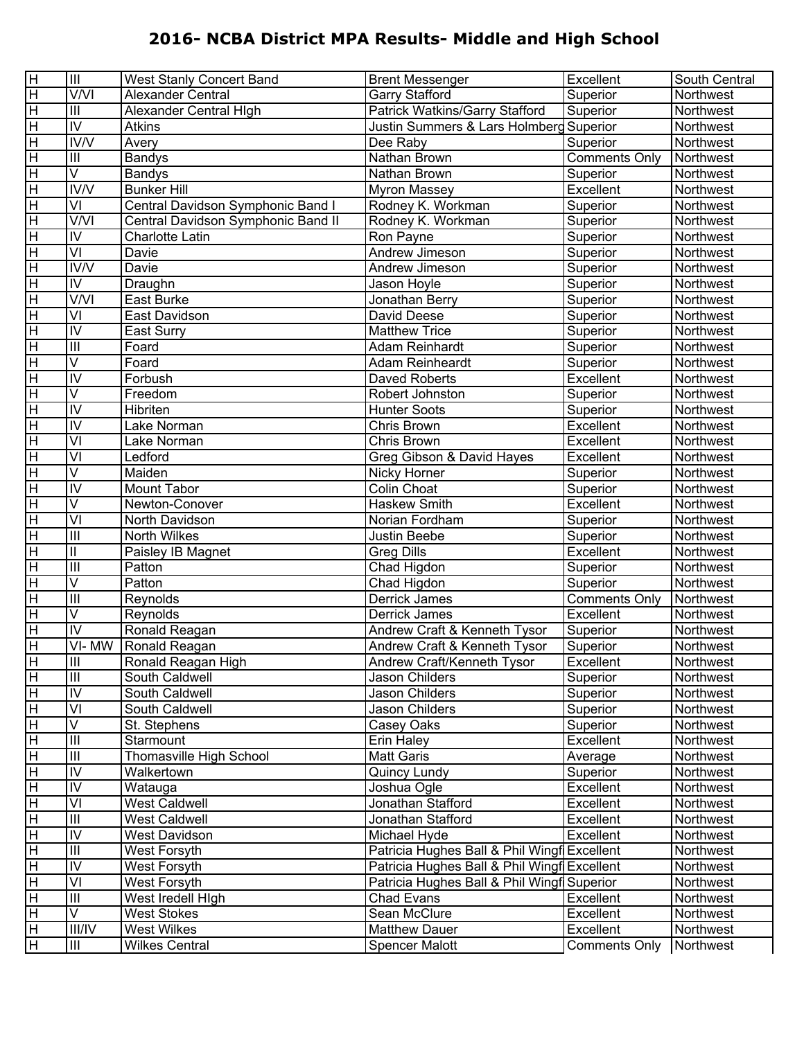| $\overline{H}$          | Ш                                             | West Stanly Concert Band           | <b>Brent Messenger</b>                      | Excellent            | South Central |
|-------------------------|-----------------------------------------------|------------------------------------|---------------------------------------------|----------------------|---------------|
| $\overline{\mathsf{H}}$ | V/VI                                          | Alexander Central                  | <b>Garry Stafford</b>                       | Superior             | Northwest     |
| $\overline{\mathbf{H}}$ | $\mathbf{III}$                                | Alexander Central High             | Patrick Watkins/Garry Stafford              | Superior             | Northwest     |
| $\overline{\mathsf{H}}$ | $\overline{N}$                                | Atkins                             | Justin Summers & Lars Holmberg Superior     |                      | Northwest     |
| $\overline{\mathbf{H}}$ | $\overline{\text{IV}}\text{N}$                | Avery                              | Dee Raby                                    | Superior             | Northwest     |
| $\overline{\mathbf{H}}$ | $\mathbf{III}$                                | <b>Bandys</b>                      | Nathan Brown                                | <b>Comments Only</b> | Northwest     |
| $\overline{\mathbf{H}}$ | $\overline{\mathsf{V}}$                       | <b>Bandys</b>                      | Nathan Brown                                | Superior             | Northwest     |
| $\overline{\mathbf{H}}$ | IV/V                                          | <b>Bunker Hill</b>                 | <b>Myron Massey</b>                         | Excellent            | Northwest     |
| $\overline{\mathbf{H}}$ | VI                                            | Central Davidson Symphonic Band I  | Rodney K. Workman                           | Superior             | Northwest     |
| $\overline{\mathbf{H}}$ | $\overline{\text{V}}$ / $\overline{\text{V}}$ | Central Davidson Symphonic Band II | Rodney K. Workman                           | Superior             | Northwest     |
| $\overline{\mathbf{H}}$ | IV                                            | <b>Charlotte Latin</b>             | Ron Payne                                   | Superior             | Northwest     |
| $\overline{\mathbf{H}}$ | $\overline{\mathsf{v}}$                       | Davie                              | Andrew Jimeson                              | Superior             | Northwest     |
| $\overline{\mathbf{H}}$ | $\overline{\text{IV}}$                        | Davie                              | Andrew Jimeson                              | Superior             | Northwest     |
| $\overline{\mathbf{H}}$ | IV                                            | Draughn                            | Jason Hoyle                                 | Superior             | Northwest     |
| $\overline{\mathbf{H}}$ | $\overline{\text{V}}$                         | East Burke                         | Jonathan Berry                              | Superior             | Northwest     |
| $\overline{\mathbf{H}}$ | VI                                            | East Davidson                      | David Deese                                 | Superior             | Northwest     |
| $\overline{\mathbf{H}}$ | $\overline{N}$                                | East Surry                         | <b>Matthew Trice</b>                        | Superior             | Northwest     |
| $\overline{\mathbf{H}}$ | $\overline{III}$                              | Foard                              | Adam Reinhardt                              | Superior             | Northwest     |
| $\overline{\mathbf{H}}$ | V                                             | Foard                              | Adam Reinheardt                             | Superior             | Northwest     |
| $\overline{\mathbf{H}}$ | $\overline{N}$                                | Forbush                            | <b>Daved Roberts</b>                        | Excellent            | Northwest     |
| $\overline{\mathsf{H}}$ | V                                             | Freedom                            | Robert Johnston                             | Superior             | Northwest     |
| $\overline{\mathsf{H}}$ | $\overline{N}$                                | <b>Hibriten</b>                    | Hunter Soots                                | Superior             | Northwest     |
| $\overline{\mathbf{H}}$ | $\overline{N}$                                | Lake Norman                        | Chris Brown                                 | Excellent            | Northwest     |
| $\overline{\mathbf{H}}$ | $\overline{\mathsf{v}}$                       | Lake Norman                        | Chris Brown                                 | Excellent            | Northwest     |
| $\overline{\mathbf{H}}$ | $\overline{\textsf{V}}$                       | Ledford                            | Greg Gibson & David Hayes                   | Excellent            | Northwest     |
| $\overline{\mathbf{H}}$ | V                                             | Maiden                             | Nicky Horner                                | Superior             | Northwest     |
| $\overline{\mathbf{H}}$ | $\overline{\mathsf{N}}$                       | Mount Tabor                        | Colin Choat                                 | Superior             | Northwest     |
| $\overline{\mathsf{H}}$ | V                                             | Newton-Conover                     | Haskew Smith                                | Excellent            | Northwest     |
| $\overline{\mathsf{H}}$ | $\overline{\mathsf{v}}$                       | North Davidson                     | Norian Fordham                              | Superior             | Northwest     |
| $\overline{\mathsf{H}}$ | $\overline{\mathbb{H}}$                       | North Wilkes                       | Justin Beebe                                | Superior             | Northwest     |
| $\overline{\mathbf{H}}$ | $\ensuremath{\mathsf{II}}$                    | Paisley IB Magnet                  | <b>Greg Dills</b>                           | Excellent            | Northwest     |
| $\overline{\mathbf{H}}$ | $\overline{\mathbb{H}}$                       | Patton                             | Chad Higdon                                 | Superior             | Northwest     |
| $\overline{\mathbf{H}}$ | V                                             | Patton                             | Chad Higdon                                 | Superior             | Northwest     |
| $\overline{\mathbf{H}}$ | $\overline{III}$                              | Reynolds                           | Derrick James                               | Comments Only        | Northwest     |
| $\overline{\mathbf{H}}$ | $\overline{\mathsf{V}}$                       | Reynolds                           | <b>Derrick James</b>                        | Excellent            | Northwest     |
| $\overline{\mathbf{H}}$ | $\overline{\mathsf{N}}$                       | Ronald Reagan                      | Andrew Craft & Kenneth Tysor                | Superior             | Northwest     |
| $\overline{\mathsf{H}}$ | $\overline{VI}$ - MW                          | Ronald Reagan                      | Andrew Craft & Kenneth Tysor                | Superior             | Northwest     |
| ΙH                      | ШI                                            | Ronald Reagan High                 | Andrew Craft/Kenneth Tysor                  | Excellent            | Northwest     |
| H                       | $\overline{\mathbb{H}}$                       | South Caldwell                     | Jason Childers                              | Superior             | Northwest     |
| $\overline{H}$          | IV                                            | South Caldwell                     | Jason Childers                              | Superior             | Northwest     |
| $\overline{\mathbf{H}}$ | VI                                            | South Caldwell                     | Jason Childers                              | Superior             | Northwest     |
| $\overline{\mathbf{H}}$ | V                                             | St. Stephens                       | Casey Oaks                                  | Superior             | Northwest     |
| $\overline{\mathbf{H}}$ | $\mathbf{III}$                                | Starmount                          | <b>Erin Haley</b>                           | Excellent            | Northwest     |
| $\overline{\mathbf{H}}$ | $\mathbf{III}$                                | Thomasville High School            | <b>Matt Garis</b>                           | Average              | Northwest     |
| $\overline{\mathbf{H}}$ | IV                                            | Walkertown                         | Quincy Lundy                                | Superior             | Northwest     |
| $\overline{\mathbf{H}}$ | IV                                            | Watauga                            | Joshua Ogle                                 | Excellent            | Northwest     |
| $\overline{\mathbf{H}}$ | VI                                            | <b>West Caldwell</b>               | Jonathan Stafford                           | Excellent            | Northwest     |
| $\overline{\mathbf{H}}$ | $\mathbf{III}$                                | West Caldwell                      | Jonathan Stafford                           | Excellent            | Northwest     |
| $\overline{\mathbf{H}}$ | IV                                            | West Davidson                      | Michael Hyde                                | Excellent            | Northwest     |
| $\overline{\mathbf{H}}$ | $\mathbf{III}$                                | West Forsyth                       | Patricia Hughes Ball & Phil Wingf Excellent |                      | Northwest     |
| $\overline{\mathbf{H}}$ | IV                                            | West Forsyth                       | Patricia Hughes Ball & Phil Wingf Excellent |                      | Northwest     |
| $\overline{\mathbf{H}}$ | VI                                            | West Forsyth                       | Patricia Hughes Ball & Phil Wingf Superior  |                      | Northwest     |
| $\overline{\mathbf{H}}$ | $\ensuremath{\mathsf{III}}\xspace$            | West Iredell High                  | <b>Chad Evans</b>                           | Excellent            | Northwest     |
| $\pm$                   | V                                             | <b>West Stokes</b>                 | Sean McClure                                | Excellent            | Northwest     |
| $\overline{\mathbf{H}}$ | <b>III/IV</b>                                 | <b>West Wilkes</b>                 | <b>Matthew Dauer</b>                        | Excellent            | Northwest     |
| $\overline{H}$          | Ш                                             | <b>Wilkes Central</b>              | <b>Spencer Malott</b>                       | <b>Comments Only</b> | Northwest     |